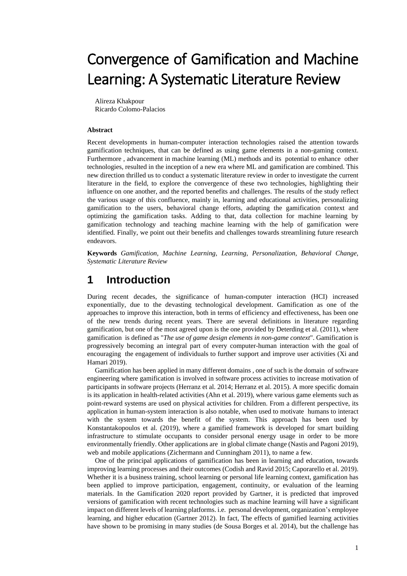# Convergence of Gamification and Machine Learning: A Systematic Literature Review

Alireza Khakpour Ricardo Colomo-Palacios

#### **Abstract**

Recent developments in human-computer interaction technologies raised the attention towards gamification techniques, that can be defined as using game elements in a non-gaming context. Furthermore , advancement in machine learning (ML) methods and its potential to enhance other technologies, resulted in the inception of a new era where ML and gamification are combined. This new direction thrilled us to conduct a systematic literature review in order to investigate the current literature in the field, to explore the convergence of these two technologies, highlighting their influence on one another, and the reported benefits and challenges. The results of the study reflect the various usage of this confluence, mainly in, learning and educational activities, personalizing gamification to the users, behavioral change efforts, adapting the gamification context and optimizing the gamification tasks. Adding to that, data collection for machine learning by gamification technology and teaching machine learning with the help of gamification were identified. Finally, we point out their benefits and challenges towards streamlining future research endeavors.

**Keywords** *Gamification, Machine Learning, Learning*, *Personalization, Behavioral Change, Systematic Literature Review*

# **1 Introduction**

During recent decades, the significance of human-computer interaction (HCI) increased exponentially, due to the devasting technological development. Gamification as one of the approaches to improve this interaction, both in terms of efficiency and effectiveness, has been one of the new trends during recent years. There are several definitions in literature regarding gamification, but one of the most agreed upon is the one provided by Deterding et al. (2011), where gamification is defined as "*The use of game design elements in non-game context*". Gamification is progressively becoming an integral part of every computer-human interaction with the goal of encouraging the engagement of individuals to further support and improve user activities (Xi and Hamari 2019).

Gamification has been applied in many different domains , one of such is the domain of software engineering where gamification is involved in software process activities to increase motivation of participants in software projects (Herranz et al. 2014; Herranz et al. 2015). A more specific domain is its application in health-related activities (Ahn et al. 2019), where various game elements such as point-reward systems are used on physical activities for children. From a different perspective, its application in human-system interaction is also notable, when used to motivate humans to interact with the system towards the benefit of the system. This approach has been used by Konstantakopoulos et al. (2019), where a gamified framework is developed for smart building infrastructure to stimulate occupants to consider personal energy usage in order to be more environmentally friendly. Other applications are in global climate change (Nastis and Pagoni 2019), web and mobile applications (Zichermann and Cunningham 2011), to name a few.

One of the principal applications of gamification has been in learning and education, towards improving learning processes and their outcomes (Codish and Ravid 2015; Caporarello et al. 2019). Whether it is a business training, school learning or personal life learning context, gamification has been applied to improve participation, engagement, continuity, or evaluation of the learning materials. In the Gamification 2020 report provided by Gartner, it is predicted that improved versions of gamification with recent technologies such as machine learning will have a significant impact on different levels of learning platforms. i.e. personal development, organization's employee learning, and higher education (Gartner 2012). In fact, The effects of gamified learning activities have shown to be promising in many studies (de Sousa Borges et al. 2014), but the challenge has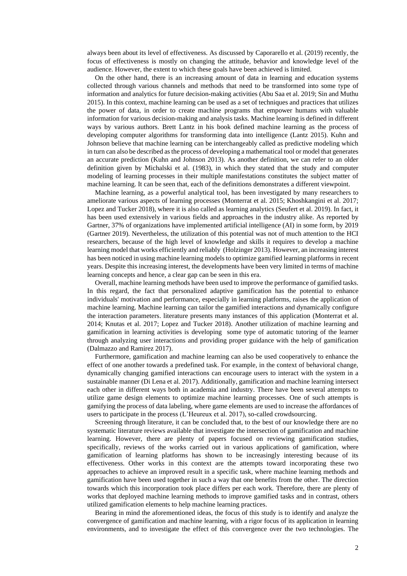always been about its level of effectiveness. As discussed by Caporarello et al. (2019) recently, the focus of effectiveness is mostly on changing the attitude, behavior and knowledge level of the audience. However, the extent to which these goals have been achieved is limited.

On the other hand, there is an increasing amount of data in learning and education systems collected through various channels and methods that need to be transformed into some type of information and analytics for future decision-making activities (Abu Saa et al. 2019; Sin and Muthu 2015). In this context, machine learning can be used as a set of techniques and practices that utilizes the power of data, in order to create machine programs that empower humans with valuable information for various decision-making and analysis tasks. Machine learning is defined in different ways by various authors. Brett Lantz in his book defined machine learning as the process of developing computer algorithms for transforming data into intelligence (Lantz 2015). Kuhn and Johnson believe that machine learning can be interchangeably called as predictive modeling which in turn can also be described as the process of developing a mathematical tool or model that generates an accurate prediction (Kuhn and Johnson 2013). As another definition, we can refer to an older definition given by Michalski et al. (1983), in which they stated that the study and computer modeling of learning processes in their multiple manifestations constitutes the subject matter of machine learning. It can be seen that, each of the definitions demonstrates a different viewpoint.

Machine learning, as a powerful analytical tool, has been investigated by many researchers to ameliorate various aspects of learning processes (Monterrat et al. 2015; Khoshkangini et al. 2017; Lopez and Tucker 2018), where it is also called as learning analytics (Seufert et al. 2019). In fact, it has been used extensively in various fields and approaches in the industry alike. As reported by Gartner, 37% of organizations have implemented artificial intelligence (AI) in some form, by 2019 (Gartner 2019). Nevertheless, the utilization of this potential was not of much attention to the HCI researchers, because of the high level of knowledge and skills it requires to develop a machine learning model that works efficiently and reliably (Holzinger 2013). However, an increasing interest has been noticed in using machine learning models to optimize gamified learning platforms in recent years. Despite this increasing interest, the developments have been very limited in terms of machine learning concepts and hence, a clear gap can be seen in this era.

Overall, machine learning methods have been used to improve the performance of gamified tasks. In this regard, the fact that personalized adaptive gamification has the potential to enhance individuals' motivation and performance, especially in learning platforms, raises the application of machine learning. Machine learning can tailor the gamified interactions and dynamically configure the interaction parameters. literature presents many instances of this application (Monterrat et al. 2014; Knutas et al. 2017; Lopez and Tucker 2018). Another utilization of machine learning and gamification in learning activities is developing some type of automatic tutoring of the learner through analyzing user interactions and providing proper guidance with the help of gamification (Dalmazzo and Ramirez 2017).

Furthermore, gamification and machine learning can also be used cooperatively to enhance the effect of one another towards a predefined task. For example, in the context of behavioral change, dynamically changing gamified interactions can encourage users to interact with the system in a sustainable manner (Di Lena et al. 2017). Additionally, gamification and machine learning intersect each other in different ways both in academia and industry. There have been several attempts to utilize game design elements to optimize machine learning processes. One of such attempts is gamifying the process of data labeling, where game elements are used to increase the affordances of users to participate in the process (L'Heureux et al. 2017), so-called crowdsourcing.

Screening through literature, it can be concluded that, to the best of our knowledge there are no systematic literature reviews available that investigate the intersection of gamification and machine learning. However, there are plenty of papers focused on reviewing gamification studies, specifically, reviews of the works carried out in various applications of gamification, where gamification of learning platforms has shown to be increasingly interesting because of its effectiveness. Other works in this context are the attempts toward incorporating these two approaches to achieve an improved result in a specific task, where machine learning methods and gamification have been used together in such a way that one benefits from the other. The direction towards which this incorporation took place differs per each work. Therefore, there are plenty of works that deployed machine learning methods to improve gamified tasks and in contrast, others utilized gamification elements to help machine learning practices.

Bearing in mind the aforementioned ideas, the focus of this study is to identify and analyze the convergence of gamification and machine learning, with a rigor focus of its application in learning environments, and to investigate the effect of this convergence over the two technologies. The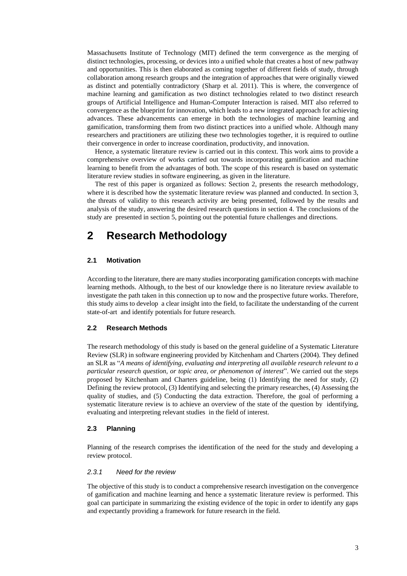Massachusetts Institute of Technology (MIT) defined the term convergence as the merging of distinct technologies, processing, or devices into a unified whole that creates a host of new pathway and opportunities. This is then elaborated as coming together of different fields of study, through collaboration among research groups and the integration of approaches that were originally viewed as distinct and potentially contradictory (Sharp et al. 2011). This is where, the convergence of machine learning and gamification as two distinct technologies related to two distinct research groups of Artificial Intelligence and Human-Computer Interaction is raised. MIT also referred to convergence as the blueprint for innovation, which leads to a new integrated approach for achieving advances. These advancements can emerge in both the technologies of machine learning and gamification, transforming them from two distinct practices into a unified whole. Although many researchers and practitioners are utilizing these two technologies together, it is required to outline their convergence in order to increase coordination, productivity, and innovation.

Hence, a systematic literature review is carried out in this context. This work aims to provide a comprehensive overview of works carried out towards incorporating gamification and machine learning to benefit from the advantages of both. The scope of this research is based on systematic literature review studies in software engineering, as given in the literature.

The rest of this paper is organized as follows: Section 2, presents the research methodology, where it is described how the systematic literature review was planned and conducted. In section 3, the threats of validity to this research activity are being presented, followed by the results and analysis of the study, answering the desired research questions in section 4. The conclusions of the study are presented in section 5, pointing out the potential future challenges and directions.

# **2 Research Methodology**

# **2.1 Motivation**

According to the literature, there are many studies incorporating gamification concepts with machine learning methods. Although, to the best of our knowledge there is no literature review available to investigate the path taken in this connection up to now and the prospective future works. Therefore, this study aims to develop a clear insight into the field, to facilitate the understanding of the current state-of-art and identify potentials for future research.

# **2.2 Research Methods**

The research methodology of this study is based on the general guideline of a Systematic Literature Review (SLR) in software engineering provided by Kitchenham and Charters (2004). They defined an SLR as "*A means of identifying, evaluating and interpreting all available research relevant to a particular research question, or topic area, or phenomenon of interest*". We carried out the steps proposed by Kitchenham and Charters guideline, being (1) Identifying the need for study, (2) Defining the review protocol, (3) Identifying and selecting the primary researches, (4) Assessing the quality of studies, and (5) Conducting the data extraction. Therefore, the goal of performing a systematic literature review is to achieve an overview of the state of the question by identifying, evaluating and interpreting relevant studies in the field of interest.

### **2.3 Planning**

Planning of the research comprises the identification of the need for the study and developing a review protocol.

#### *2.3.1 Need for the review*

The objective of this study is to conduct a comprehensive research investigation on the convergence of gamification and machine learning and hence a systematic literature review is performed. This goal can participate in summarizing the existing evidence of the topic in order to identify any gaps and expectantly providing a framework for future research in the field.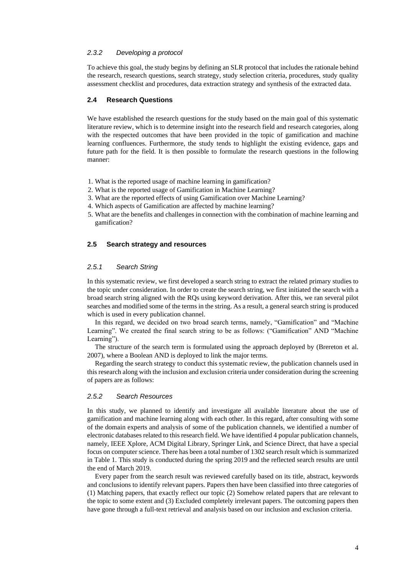# *2.3.2 Developing a protocol*

To achieve this goal, the study begins by defining an SLR protocol that includes the rationale behind the research, research questions, search strategy, study selection criteria, procedures, study quality assessment checklist and procedures, data extraction strategy and synthesis of the extracted data.

# **2.4 Research Questions**

We have established the research questions for the study based on the main goal of this systematic literature review, which is to determine insight into the research field and research categories, along with the respected outcomes that have been provided in the topic of gamification and machine learning confluences. Furthermore, the study tends to highlight the existing evidence, gaps and future path for the field. It is then possible to formulate the research questions in the following manner:

- 1. What is the reported usage of machine learning in gamification?
- 2. What is the reported usage of Gamification in Machine Learning?
- 3. What are the reported effects of using Gamification over Machine Learning?
- 4. Which aspects of Gamification are affected by machine learning?
- 5. What are the benefits and challenges in connection with the combination of machine learning and gamification?

# **2.5 Search strategy and resources**

### *2.5.1 Search String*

In this systematic review, we first developed a search string to extract the related primary studies to the topic under consideration. In order to create the search string, we first initiated the search with a broad search string aligned with the RQs using keyword derivation. After this, we ran several pilot searches and modified some of the terms in the string. As a result, a general search string is produced which is used in every publication channel.

In this regard, we decided on two broad search terms, namely, "Gamification" and "Machine Learning". We created the final search string to be as follows: ("Gamification" AND "Machine Learning").

The structure of the search term is formulated using the approach deployed by (Brereton et al. 2007), where a Boolean AND is deployed to link the major terms.

Regarding the search strategy to conduct this systematic review, the publication channels used in this research along with the inclusion and exclusion criteria under consideration during the screening of papers are as follows:

### *2.5.2 Search Resources*

In this study, we planned to identify and investigate all available literature about the use of gamification and machine learning along with each other. In this regard, after consulting with some of the domain experts and analysis of some of the publication channels, we identified a number of electronic databases related to this research field. We have identified 4 popular publication channels, namely, IEEE Xplore, ACM Digital Library, Springer Link, and Science Direct, that have a special focus on computer science. There has been a total number of 1302 search result which is summarized in Table 1. This study is conducted during the spring 2019 and the reflected search results are until the end of March 2019.

Every paper from the search result was reviewed carefully based on its title, abstract, keywords and conclusions to identify relevant papers. Papers then have been classified into three categories of (1) Matching papers, that exactly reflect our topic (2) Somehow related papers that are relevant to the topic to some extent and (3) Excluded completely irrelevant papers. The outcoming papers then have gone through a full-text retrieval and analysis based on our inclusion and exclusion criteria.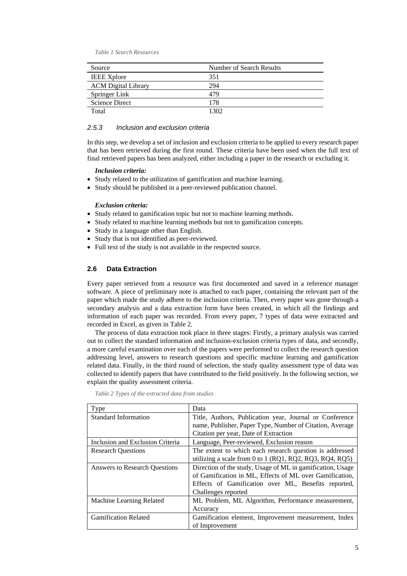*Table 1 Search Resources*

| Source                     | Number of Search Results |
|----------------------------|--------------------------|
| <b>IEEE</b> Xplore         | 351                      |
| <b>ACM</b> Digital Library | 294                      |
| Springer Link              | 479                      |
| Science Direct             | 178                      |
| Total                      | 1302                     |

# *2.5.3 Inclusion and exclusion criteria*

In this step, we develop a set of inclusion and exclusion criteria to be applied to every research paper that has been retrieved during the first round. These criteria have been used when the full text of final retrieved papers has been analyzed, either including a paper in the research or excluding it.

#### *Inclusion criteria:*

- Study related to the utilization of gamification and machine learning.
- Study should be published in a peer-reviewed publication channel.

# *Exclusion criteria:*

- Study related to gamification topic but not to machine learning methods.
- Study related to machine learning methods but not to gamification concepts.
- Study in a language other than English.
- Study that is not identified as peer-reviewed.
- Full text of the study is not available in the respected source.

# **2.6 Data Extraction**

Every paper retrieved from a resource was first documented and saved in a reference manager software. A piece of preliminary note is attached to each paper, containing the relevant part of the paper which made the study adhere to the inclusion criteria. Then, every paper was gone through a secondary analysis and a data extraction form have been created, in which all the findings and information of each paper was recorded. From every paper, 7 types of data were extracted and recorded in Excel, as given in Table 2.

The process of data extraction took place in three stages: Firstly, a primary analysis was carried out to collect the standard information and inclusion-exclusion criteria types of data, and secondly, a more careful examination over each of the papers were performed to collect the research question addressing level, answers to research questions and specific machine learning and gamification related data. Finally, in the third round of selection, the study quality assessment type of data was collected to identify papers that have contributed to the field positively. In the following section, we explain the quality assessment criteria.

| Type                                 | Data                                                       |
|--------------------------------------|------------------------------------------------------------|
| <b>Standard Information</b>          | Title, Authors, Publication year, Journal or Conference    |
|                                      | name, Publisher, Paper Type, Number of Citation, Average   |
|                                      | Citation per year, Date of Extraction                      |
| Inclusion and Exclusion Criteria     | Language, Peer-reviewed, Exclusion reason                  |
| <b>Research Questions</b>            | The extent to which each research question is addressed    |
|                                      | utilizing a scale from 0 to 1 (RQ1, RQ2, RQ3, RQ4, RQ5)    |
| <b>Answers to Research Ouestions</b> | Direction of the study, Usage of ML in gamification, Usage |
|                                      | of Gamification in ML, Effects of ML over Gamification,    |
|                                      | Effects of Gamification over ML, Benefits reported,        |
|                                      | Challenges reported                                        |
| Machine Learning Related             | ML Problem, ML Algorithm, Performance measurement,         |
|                                      | Accuracy                                                   |
| <b>Gamification Related</b>          | Gamification element, Improvement measurement, Index       |
|                                      | of Improvement                                             |

*Table 2 Types of the extracted data from studies*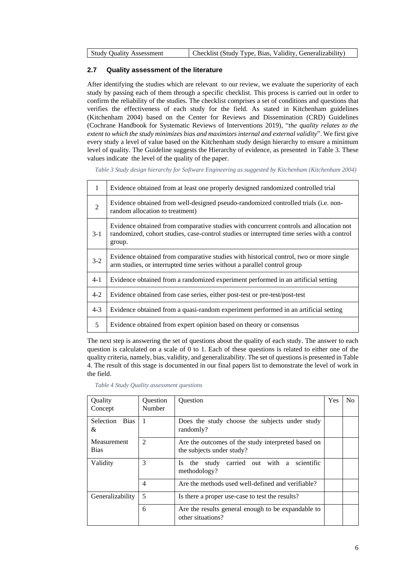| <b>Study Ouality Assessment</b> | Checklist (Study Type, Bias, Validity, Generalizability) |
|---------------------------------|----------------------------------------------------------|
|---------------------------------|----------------------------------------------------------|

# **2.7 Quality assessment of the literature**

After identifying the studies which are relevant to our review, we evaluate the superiority of each study by passing each of them through a specific checklist. This process is carried out in order to confirm the reliability of the studies. The checklist comprises a set of conditions and questions that verifies the effectiveness of each study for the field. As stated in Kitchenham guidelines (Kitchenham 2004) based on the Center for Reviews and Dissemination (CRD) Guidelines (Cochrane Handbook for Systematic Reviews of Interventions 2019), "*the quality relates to the extent to which the study minimizes bias and maximizes internal and external validity*". We first give every study a level of value based on the Kitchenham study design hierarchy to ensure a minimum level of quality. The Guideline suggests the Hierarchy of evidence, as presented in Table 3. These values indicate the level of the quality of the paper.

*Table 3 Study design hierarchy for Software Engineering as suggested by Kitchenham (Kitchenham 2004)*

| $\mathbf{1}$ | Evidence obtained from at least one properly designed randomized controlled trial                                                                                                              |
|--------------|------------------------------------------------------------------------------------------------------------------------------------------------------------------------------------------------|
| 2            | Evidence obtained from well-designed pseudo-randomized controlled trials (i.e. non-<br>random allocation to treatment)                                                                         |
| $3-1$        | Evidence obtained from comparative studies with concurrent controls and allocation not<br>randomized, cohort studies, case-control studies or interrupted time series with a control<br>group. |
| $3 - 2$      | Evidence obtained from comparative studies with historical control, two or more single<br>arm studies, or interrupted time series without a parallel control group                             |
| $4 - 1$      | Evidence obtained from a randomized experiment performed in an artificial setting                                                                                                              |
| $4 - 2$      | Evidence obtained from case series, either post-test or pre-test/post-test                                                                                                                     |
| $4 - 3$      | Evidence obtained from a quasi-random experiment performed in an artificial setting                                                                                                            |
| 5            | Evidence obtained from expert opinion based on theory or consensus                                                                                                                             |

The next step is answering the set of questions about the quality of each study. The answer to each question is calculated on a scale of 0 to 1. Each of these questions is related to either one of the quality criteria, namely, bias, validity, and generalizability. The set of questions is presented in Table 4. The result of this stage is documented in our final papers list to demonstrate the level of work in the field.

| Quality<br>Concept         | Question<br>Number | <b>Ouestion</b>                                                                 | Yes | N <sub>0</sub> |
|----------------------------|--------------------|---------------------------------------------------------------------------------|-----|----------------|
| Selection Bias<br>&        |                    | Does the study choose the subjects under study<br>randomly?                     |     |                |
| Measurement<br><b>Bias</b> | $\mathfrak{D}$     | Are the outcomes of the study interpreted based on<br>the subjects under study? |     |                |
| Validity                   | 3                  | scientific<br>carried out with a<br>Is the study<br>methodology?                |     |                |
|                            | 4                  | Are the methods used well-defined and verifiable?                               |     |                |
| Generalizability           | 5                  | Is there a proper use-case to test the results?                                 |     |                |
|                            | 6                  | Are the results general enough to be expandable to<br>other situations?         |     |                |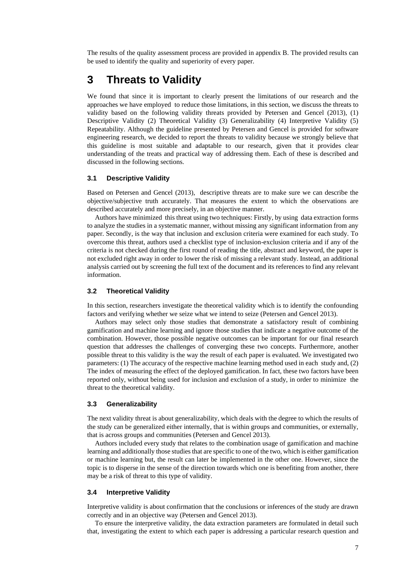The results of the quality assessment process are provided in appendix B. The provided results can be used to identify the quality and superiority of every paper.

# **3 Threats to Validity**

We found that since it is important to clearly present the limitations of our research and the approaches we have employed to reduce those limitations, in this section, we discuss the threats to validity based on the following validity threats provided by Petersen and Gencel (2013), (1) Descriptive Validity (2) Theoretical Validity (3) Generalizability (4) Interpretive Validity (5) Repeatability. Although the guideline presented by Petersen and Gencel is provided for software engineering research, we decided to report the threats to validity because we strongly believe that this guideline is most suitable and adaptable to our research, given that it provides clear understanding of the treats and practical way of addressing them. Each of these is described and discussed in the following sections.

# **3.1 Descriptive Validity**

Based on Petersen and Gencel (2013), descriptive threats are to make sure we can describe the objective/subjective truth accurately. That measures the extent to which the observations are described accurately and more precisely, in an objective manner.

Authors have minimized this threat using two techniques: Firstly, by using data extraction forms to analyze the studies in a systematic manner, without missing any significant information from any paper. Secondly, is the way that inclusion and exclusion criteria were examined for each study. To overcome this threat, authors used a checklist type of inclusion-exclusion criteria and if any of the criteria is not checked during the first round of reading the title, abstract and keyword, the paper is not excluded right away in order to lower the risk of missing a relevant study. Instead, an additional analysis carried out by screening the full text of the document and its references to find any relevant information.

### **3.2 Theoretical Validity**

In this section, researchers investigate the theoretical validity which is to identify the confounding factors and verifying whether we seize what we intend to seize (Petersen and Gencel 2013).

Authors may select only those studies that demonstrate a satisfactory result of combining gamification and machine learning and ignore those studies that indicate a negative outcome of the combination. However, those possible negative outcomes can be important for our final research question that addresses the challenges of converging these two concepts. Furthermore, another possible threat to this validity is the way the result of each paper is evaluated. We investigated two parameters: (1) The accuracy of the respective machine learning method used in each study and, (2) The index of measuring the effect of the deployed gamification. In fact, these two factors have been reported only, without being used for inclusion and exclusion of a study, in order to minimize the threat to the theoretical validity.

### **3.3 Generalizability**

The next validity threat is about generalizability, which deals with the degree to which the results of the study can be generalized either internally, that is within groups and communities, or externally, that is across groups and communities (Petersen and Gencel 2013).

Authors included every study that relates to the combination usage of gamification and machine learning and additionally those studies that are specific to one of the two, which is either gamification or machine learning but, the result can later be implemented in the other one. However, since the topic is to disperse in the sense of the direction towards which one is benefiting from another, there may be a risk of threat to this type of validity.

### **3.4 Interpretive Validity**

Interpretive validity is about confirmation that the conclusions or inferences of the study are drawn correctly and in an objective way (Petersen and Gencel 2013).

To ensure the interpretive validity, the data extraction parameters are formulated in detail such that, investigating the extent to which each paper is addressing a particular research question and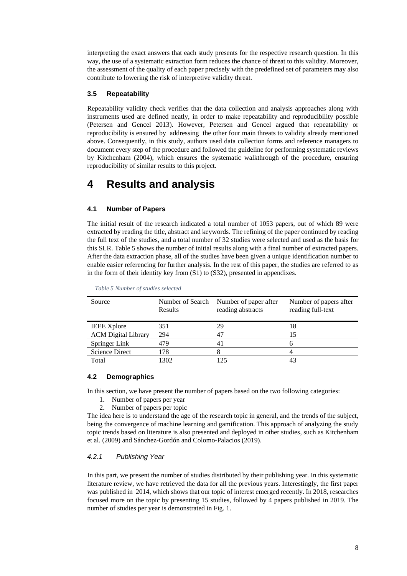interpreting the exact answers that each study presents for the respective research question. In this way, the use of a systematic extraction form reduces the chance of threat to this validity. Moreover, the assessment of the quality of each paper precisely with the predefined set of parameters may also contribute to lowering the risk of interpretive validity threat.

# **3.5 Repeatability**

Repeatability validity check verifies that the data collection and analysis approaches along with instruments used are defined neatly, in order to make repeatability and reproducibility possible (Petersen and Gencel 2013). However, Petersen and Gencel argued that repeatability or reproducibility is ensured by addressing the other four main threats to validity already mentioned above. Consequently, in this study, authors used data collection forms and reference managers to document every step of the procedure and followed the guideline for performing systematic reviews by Kitchenham (2004), which ensures the systematic walkthrough of the procedure, ensuring reproducibility of similar results to this project.

# **4 Results and analysis**

# **4.1 Number of Papers**

The initial result of the research indicated a total number of 1053 papers, out of which 89 were extracted by reading the title, abstract and keywords. The refining of the paper continued by reading the full text of the studies, and a total number of 32 studies were selected and used as the basis for this SLR. Table 5 shows the number of initial results along with a final number of extracted papers. After the data extraction phase, all of the studies have been given a unique identification number to enable easier referencing for further analysis. In the rest of this paper, the studies are referred to as in the form of their identity key from (S1) to (S32), presented in appendixes.

| Source                     | Results | Number of Search Number of paper after<br>reading abstracts | Number of papers after<br>reading full-text |
|----------------------------|---------|-------------------------------------------------------------|---------------------------------------------|
| <b>IEEE Xplore</b>         | 351     | 29                                                          | 18                                          |
| <b>ACM</b> Digital Library | 294     | 47                                                          | 15                                          |
| Springer Link              | 479     |                                                             |                                             |
| <b>Science Direct</b>      | 178     |                                                             |                                             |
| Total                      | 1302    |                                                             |                                             |

*Table 5 Number of studies selected*

# **4.2 Demographics**

In this section, we have present the number of papers based on the two following categories:

- 1. Number of papers per year
- 2. Number of papers per topic

The idea here is to understand the age of the research topic in general, and the trends of the subject, being the convergence of machine learning and gamification. This approach of analyzing the study topic trends based on literature is also presented and deployed in other studies, such as Kitchenham et al. (2009) and Sánchez-Gordón and Colomo-Palacios (2019).

# *4.2.1 Publishing Year*

In this part, we present the number of studies distributed by their publishing year. In this systematic literature review, we have retrieved the data for all the previous years. Interestingly, the first paper was published in 2014, which shows that our topic of interest emerged recently. In 2018, researches focused more on the topic by presenting 15 studies, followed by 4 papers published in 2019. The number of studies per year is demonstrated in Fig. 1.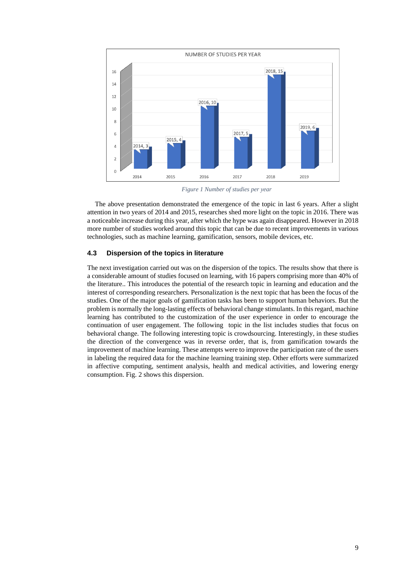

*Figure 1 Number of studies per year*

The above presentation demonstrated the emergence of the topic in last 6 years. After a slight attention in two years of 2014 and 2015, researches shed more light on the topic in 2016. There was a noticeable increase during this year, after which the hype was again disappeared. However in 2018 more number of studies worked around this topic that can be due to recent improvements in various technologies, such as machine learning, gamification, sensors, mobile devices, etc.

# **4.3 Dispersion of the topics in literature**

The next investigation carried out was on the dispersion of the topics. The results show that there is a considerable amount of studies focused on learning, with 16 papers comprising more than 40% of the literature.. This introduces the potential of the research topic in learning and education and the interest of corresponding researchers. Personalization is the next topic that has been the focus of the studies. One of the major goals of gamification tasks has been to support human behaviors. But the problem is normally the long-lasting effects of behavioral change stimulants. In this regard, machine learning has contributed to the customization of the user experience in order to encourage the continuation of user engagement. The following topic in the list includes studies that focus on behavioral change. The following interesting topic is crowdsourcing. Interestingly, in these studies the direction of the convergence was in reverse order, that is, from gamification towards the improvement of machine learning. These attempts were to improve the participation rate of the users in labeling the required data for the machine learning training step. Other efforts were summarized in affective computing, sentiment analysis, health and medical activities, and lowering energy consumption. Fig. 2 shows this dispersion.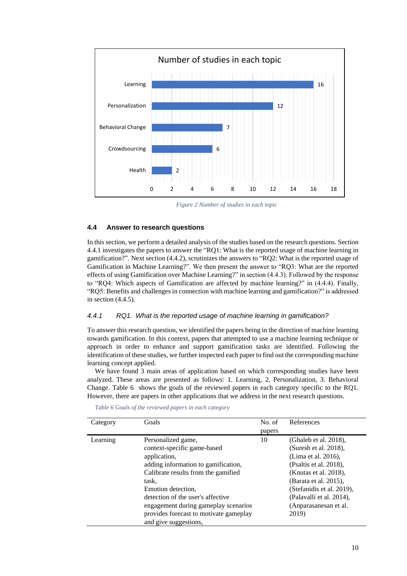

*Figure 2 Number of studies in each topic*

# **4.4 Answer to research questions**

In this section, we perform a detailed analysis of the studies based on the research questions. Section 4.4.1 investigates the papers to answer the "RQ1: What is the reported usage of machine learning in gamification?". Next section (4.4.2), scrutinizes the answers to "RQ2: What is the reported usage of Gamification in Machine Learning?". We then present the answer to "RQ3: What are the reported effects of using Gamification over Machine Learning?" in section (4.4.3). Followed by the response to "RQ4: Which aspects of Gamification are affected by machine learning?" in (4.4.4). Finally, "RQ5: Benefits and challenges in connection with machine learning and gamification?" is addressed in section (4.4.5).

### *4.4.1 RQ1. What is the reported usage of machine learning in gamification?*

To answer this research question, we identified the papers being in the direction of machine learning towards gamification. In this context, papers that attempted to use a machine learning technique or approach in order to enhance and support gamification tasks are identified. Following the identification of these studies, we further inspected each paper to find out the corresponding machine learning concept applied.

We have found 3 main areas of application based on which corresponding studies have been analyzed. These areas are presented as follows: 1. Learning, 2. Personalization, 3. Behavioral Change. Table 6 shows the goals of the reviewed papers in each category specific to the RQ1. However, there are papers in other applications that we address in the next research questions.

| Category | Goals                                                                                                                                                                                                               | No. of | References                                                                                                                                                                                                 |
|----------|---------------------------------------------------------------------------------------------------------------------------------------------------------------------------------------------------------------------|--------|------------------------------------------------------------------------------------------------------------------------------------------------------------------------------------------------------------|
|          |                                                                                                                                                                                                                     | papers |                                                                                                                                                                                                            |
| Learning | Personalized game,<br>context-specific game-based<br>application,<br>adding information to gamification,<br>Calibrate results from the gamified<br>task,<br>Emotion detection,<br>detection of the user's affective | 10     | (Ghaleb et al. 2018),<br>(Suresh et al. 2018),<br>(Lima et al. 2016),<br>(Psaltis et al. 2018),<br>(Knutas et al. 2018),<br>(Barata et al. 2015),<br>(Stefanidis et al. 2019),<br>(Palavalli et al. 2014), |
|          | engagement during gameplay scenarios<br>provides forecast to motivate gameplay<br>and give suggestions,                                                                                                             |        | (Anparasanesan et al.<br>2019)                                                                                                                                                                             |

*Table 6 Goals of the reviewed papers in each category*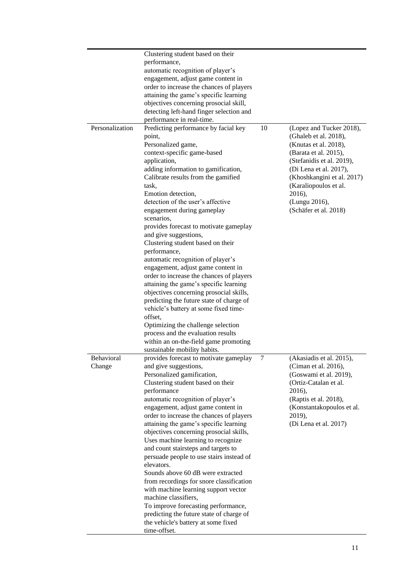|                 | Clustering student based on their                                                                                                                                                                                                                                                                                                                                                                                                                                                                                                                                                                                                                                                              |    |                                                                                                                                                                                                                  |
|-----------------|------------------------------------------------------------------------------------------------------------------------------------------------------------------------------------------------------------------------------------------------------------------------------------------------------------------------------------------------------------------------------------------------------------------------------------------------------------------------------------------------------------------------------------------------------------------------------------------------------------------------------------------------------------------------------------------------|----|------------------------------------------------------------------------------------------------------------------------------------------------------------------------------------------------------------------|
|                 | performance,                                                                                                                                                                                                                                                                                                                                                                                                                                                                                                                                                                                                                                                                                   |    |                                                                                                                                                                                                                  |
|                 | automatic recognition of player's                                                                                                                                                                                                                                                                                                                                                                                                                                                                                                                                                                                                                                                              |    |                                                                                                                                                                                                                  |
|                 | engagement, adjust game content in                                                                                                                                                                                                                                                                                                                                                                                                                                                                                                                                                                                                                                                             |    |                                                                                                                                                                                                                  |
|                 | order to increase the chances of players                                                                                                                                                                                                                                                                                                                                                                                                                                                                                                                                                                                                                                                       |    |                                                                                                                                                                                                                  |
|                 | attaining the game's specific learning                                                                                                                                                                                                                                                                                                                                                                                                                                                                                                                                                                                                                                                         |    |                                                                                                                                                                                                                  |
|                 |                                                                                                                                                                                                                                                                                                                                                                                                                                                                                                                                                                                                                                                                                                |    |                                                                                                                                                                                                                  |
|                 | objectives concerning prosocial skill,                                                                                                                                                                                                                                                                                                                                                                                                                                                                                                                                                                                                                                                         |    |                                                                                                                                                                                                                  |
|                 | detecting left-hand finger selection and                                                                                                                                                                                                                                                                                                                                                                                                                                                                                                                                                                                                                                                       |    |                                                                                                                                                                                                                  |
| Personalization | performance in real-time.<br>Predicting performance by facial key                                                                                                                                                                                                                                                                                                                                                                                                                                                                                                                                                                                                                              | 10 | (Lopez and Tucker 2018),                                                                                                                                                                                         |
|                 | point,<br>Personalized game,<br>context-specific game-based<br>application,<br>adding information to gamification,<br>Calibrate results from the gamified<br>task,<br>Emotion detection,<br>detection of the user's affective                                                                                                                                                                                                                                                                                                                                                                                                                                                                  |    | (Ghaleb et al. 2018),<br>(Knutas et al. 2018),<br>(Barata et al. 2015),<br>(Stefanidis et al. 2019),<br>(Di Lena et al. 2017),<br>(Khoshkangini et al. 2017)<br>(Karaliopoulos et al.<br>2016),<br>(Lungu 2016), |
|                 | engagement during gameplay<br>scenarios,<br>provides forecast to motivate gameplay<br>and give suggestions,<br>Clustering student based on their<br>performance,<br>automatic recognition of player's<br>engagement, adjust game content in<br>order to increase the chances of players<br>attaining the game's specific learning<br>objectives concerning prosocial skills,<br>predicting the future state of charge of<br>vehicle's battery at some fixed time-                                                                                                                                                                                                                              |    | (Schäfer et al. 2018)                                                                                                                                                                                            |
|                 | offset,<br>Optimizing the challenge selection                                                                                                                                                                                                                                                                                                                                                                                                                                                                                                                                                                                                                                                  |    |                                                                                                                                                                                                                  |
|                 | process and the evaluation results<br>within an on-the-field game promoting<br>sustainable mobility habits.                                                                                                                                                                                                                                                                                                                                                                                                                                                                                                                                                                                    |    |                                                                                                                                                                                                                  |
| Behavioral      | provides forecast to motivate gameplay                                                                                                                                                                                                                                                                                                                                                                                                                                                                                                                                                                                                                                                         | 7  | (Akasiadis et al. 2015),                                                                                                                                                                                         |
| Change          | and give suggestions,<br>Personalized gamification,<br>Clustering student based on their<br>performance<br>automatic recognition of player's<br>engagement, adjust game content in<br>order to increase the chances of players<br>attaining the game's specific learning<br>objectives concerning prosocial skills,<br>Uses machine learning to recognize<br>and count stairsteps and targets to<br>persuade people to use stairs instead of<br>elevators.<br>Sounds above 60 dB were extracted<br>from recordings for snore classification<br>with machine learning support vector<br>machine classifiers,<br>To improve forecasting performance,<br>predicting the future state of charge of |    | (Ciman et al. 2016),<br>(Goswami et al. 2019),<br>(Ortiz-Catalan et al.<br>2016),<br>(Raptis et al. 2018),<br>(Konstantakopoulos et al.<br>2019),<br>(Di Lena et al. 2017)                                       |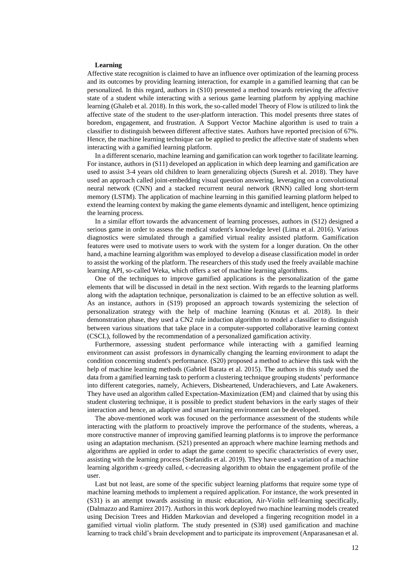### **Learning**

Affective state recognition is claimed to have an influence over optimization of the learning process and its outcomes by providing learning interaction, for example in a gamified learning that can be personalized. In this regard, authors in (S10) presented a method towards retrieving the affective state of a student while interacting with a serious game learning platform by applying machine learning (Ghaleb et al. 2018). In this work, the so-called model Theory of Flow is utilized to link the affective state of the student to the user-platform interaction. This model presents three states of boredom, engagement, and frustration. A Support Vector Machine algorithm is used to train a classifier to distinguish between different affective states. Authors have reported precision of 67%. Hence, the machine learning technique can be applied to predict the affective state of students when interacting with a gamified learning platform.

In a different scenario, machine learning and gamification can work together to facilitate learning. For instance, authors in (S11) developed an application in which deep learning and gamification are used to assist 3-4 years old children to learn generalizing objects (Suresh et al. 2018). They have used an approach called joint-embedding visual question answering, leveraging on a convolutional neural network (CNN) and a stacked recurrent neural network (RNN) called long short-term memory (LSTM). The application of machine learning in this gamified learning platform helped to extend the learning context by making the game elements dynamic and intelligent, hence optimizing the learning process.

In a similar effort towards the advancement of learning processes, authors in (S12) designed a serious game in order to assess the medical student's knowledge level (Lima et al. 2016). Various diagnostics were simulated through a gamified virtual reality assisted platform. Gamification features were used to motivate users to work with the system for a longer duration. On the other hand, a machine learning algorithm was employed to develop a disease classification model in order to assist the working of the platform. The researchers of this study used the freely available machine learning API, so-called Weka, which offers a set of machine learning algorithms.

One of the techniques to improve gamified applications is the personalization of the game elements that will be discussed in detail in the next section. With regards to the learning platforms along with the adaptation technique, personalization is claimed to be an effective solution as well. As an instance, authors in (S19) proposed an approach towards systemizing the selection of personalization strategy with the help of machine learning (Knutas et al. 2018). In their demonstration phase, they used a CN2 rule induction algorithm to model a classifier to distinguish between various situations that take place in a computer-supported collaborative learning context (CSCL), followed by the recommendation of a personalized gamification activity.

Furthermore, assessing student performance while interacting with a gamified learning environment can assist professors in dynamically changing the learning environment to adapt the condition concerning student's performance. (S20) proposed a method to achieve this task with the help of machine learning methods (Gabriel Barata et al. 2015). The authors in this study used the data from a gamified learning task to perform a clustering technique grouping students' performance into different categories, namely, Achievers, Disheartened, Underachievers, and Late Awakeners. They have used an algorithm called Expectation-Maximization (EM) and claimed that by using this student clustering technique, it is possible to predict student behaviors in the early stages of their interaction and hence, an adaptive and smart learning environment can be developed.

The above-mentioned work was focused on the performance assessment of the students while interacting with the platform to proactively improve the performance of the students, whereas, a more constructive manner of improving gamified learning platforms is to improve the performance using an adaptation mechanism. (S21) presented an approach where machine learning methods and algorithms are applied in order to adapt the game content to specific characteristics of every user, assisting with the learning process (Stefanidis et al. 2019). They have used a variation of a machine learning algorithm  $\epsilon$ -greedy called,  $\epsilon$ -decreasing algorithm to obtain the engagement profile of the user.

Last but not least, are some of the specific subject learning platforms that require some type of machine learning methods to implement a required application. For instance, the work presented in (S31) is an attempt towards assisting in music education, Air-Violin self-learning specifically, (Dalmazzo and Ramirez 2017). Authors in this work deployed two machine learning models created using Decision Trees and Hidden Markovian and developed a fingering recognition model in a gamified virtual violin platform. The study presented in (S38) used gamification and machine learning to track child's brain development and to participate its improvement (Anparasanesan et al.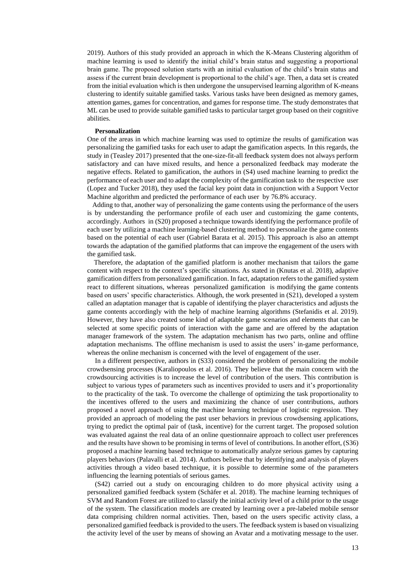2019). Authors of this study provided an approach in which the K-Means Clustering algorithm of machine learning is used to identify the initial child's brain status and suggesting a proportional brain game. The proposed solution starts with an initial evaluation of the child's brain status and assess if the current brain development is proportional to the child's age. Then, a data set is created from the initial evaluation which is then undergone the unsupervised learning algorithm of K-means clustering to identify suitable gamified tasks. Various tasks have been designed as memory games, attention games, games for concentration, and games for response time. The study demonstrates that ML can be used to provide suitable gamified tasks to particular target group based on their cognitive abilities.

# **Personalization**

One of the areas in which machine learning was used to optimize the results of gamification was personalizing the gamified tasks for each user to adapt the gamification aspects. In this regards, the study in (Teasley 2017) presented that the one-size-fit-all feedback system does not always perform satisfactory and can have mixed results, and hence a personalized feedback may moderate the negative effects. Related to gamification, the authors in (S4) used machine learning to predict the performance of each user and to adapt the complexity of the gamification task to the respective user (Lopez and Tucker 2018), they used the facial key point data in conjunction with a Support Vector Machine algorithm and predicted the performance of each user by 76.8% accuracy.

 Adding to that, another way of personalizing the game contents using the performance of the users is by understanding the performance profile of each user and customizing the game contents, accordingly. Authors in (S20) proposed a technique towards identifying the performance profile of each user by utilizing a machine learning-based clustering method to personalize the game contents based on the potential of each user (Gabriel Barata et al. 2015). This approach is also an attempt towards the adaptation of the gamified platforms that can improve the engagement of the users with the gamified task.

 Therefore, the adaptation of the gamified platform is another mechanism that tailors the game content with respect to the context's specific situations. As stated in (Knutas et al. 2018), adaptive gamification differs from personalized gamification. In fact, adaptation refers to the gamified system react to different situations, whereas personalized gamification is modifying the game contents based on users' specific characteristics. Although, the work presented in (S21), developed a system called an adaptation manager that is capable of identifying the player characteristics and adjusts the game contents accordingly with the help of machine learning algorithms (Stefanidis et al. 2019). However, they have also created some kind of adaptable game scenarios and elements that can be selected at some specific points of interaction with the game and are offered by the adaptation manager framework of the system. The adaptation mechanism has two parts, online and offline adaptation mechanisms. The offline mechanism is used to assist the users' in-game performance, whereas the online mechanism is concerned with the level of engagement of the user.

In a different perspective, authors in (S33) considered the problem of personalizing the mobile crowdsensing processes (Karaliopoulos et al. 2016). They believe that the main concern with the crowdsourcing activities is to increase the level of contribution of the users. This contribution is subject to various types of parameters such as incentives provided to users and it's proportionality to the practicality of the task. To overcome the challenge of optimizing the task proportionality to the incentives offered to the users and maximizing the chance of user contributions, authors proposed a novel approach of using the machine learning technique of logistic regression. They provided an approach of modeling the past user behaviors in previous crowdsensing applications, trying to predict the optimal pair of (task, incentive) for the current target. The proposed solution was evaluated against the real data of an online questionnaire approach to collect user preferences and the results have shown to be promising in terms of level of contributions. In another effort, (S36) proposed a machine learning based technique to automatically analyze serious games by capturing players behaviors (Palavalli et al. 2014). Authors believe that by identifying and analysis of players activities through a video based technique, it is possible to determine some of the parameters influencing the learning potentials of serious games.

(S42) carried out a study on encouraging children to do more physical activity using a personalized gamified feedback system (Schäfer et al. 2018). The machine learning techniques of SVM and Random Forest are utilized to classify the initial activity level of a child prior to the usage of the system. The classification models are created by learning over a pre-labeled mobile sensor data comprising children normal activities. Then, based on the users specific activity class, a personalized gamified feedback is provided to the users. The feedback system is based on visualizing the activity level of the user by means of showing an Avatar and a motivating message to the user.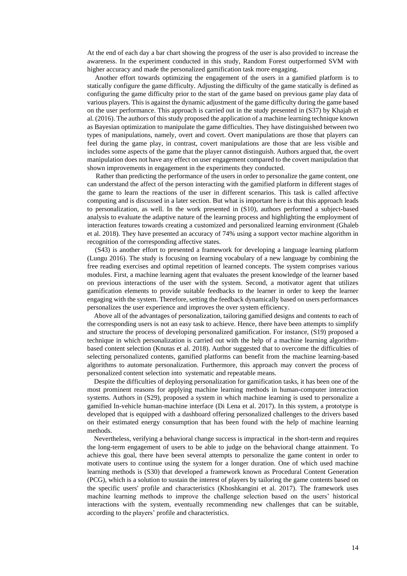At the end of each day a bar chart showing the progress of the user is also provided to increase the awareness. In the experiment conducted in this study, Random Forest outperformed SVM with higher accuracy and made the personalized gamification task more engaging.

Another effort towards optimizing the engagement of the users in a gamified platform is to statically configure the game difficulty. Adjusting the difficulty of the game statically is defined as configuring the game difficulty prior to the start of the game based on previous game play data of various players. This is against the dynamic adjustment of the game difficulty during the game based on the user performance. This approach is carried out in the study presented in (S37) by Khajah et al. (2016). The authors of this study proposed the application of a machine learning technique known as Bayesian optimization to manipulate the game difficulties. They have distinguished between two types of manipulations, namely, overt and covert. Overt manipulations are those that players can feel during the game play, in contrast, covert manipulations are those that are less visible and includes some aspects of the game that the player cannot distinguish. Authors argued that, the overt manipulation does not have any effect on user engagement compared to the covert manipulation that shown improvements in engagement in the experiments they conducted.

 Rather than predicting the performance of the users in order to personalize the game content, one can understand the affect of the person interacting with the gamified platform in different stages of the game to learn the reactions of the user in different scenarios. This task is called affective computing and is discussed in a later section. But what is important here is that this approach leads to personalization, as well. In the work presented in (S10), authors performed a subject-based analysis to evaluate the adaptive nature of the learning process and highlighting the employment of interaction features towards creating a customized and personalized learning environment (Ghaleb et al. 2018). They have presented an accuracy of 74% using a support vector machine algorithm in recognition of the corresponding affective states.

(S43) is another effort to presented a framework for developing a language learning platform (Lungu 2016). The study is focusing on learning vocabulary of a new language by combining the free reading exercises and optimal repetition of learned concepts. The system comprises various modules. First, a machine learning agent that evaluates the present knowledge of the learner based on previous interactions of the user with the system. Second, a motivator agent that utilizes gamification elements to provide suitable feedbacks to the learner in order to keep the learner engaging with the system. Therefore, setting the feedback dynamically based on users performances personalizes the user experience and improves the over system efficiency.

 Above all of the advantages of personalization, tailoring gamified designs and contents to each of the corresponding users is not an easy task to achieve. Hence, there have been attempts to simplify and structure the process of developing personalized gamification. For instance, (S19) proposed a technique in which personalization is carried out with the help of a machine learning algorithmbased content selection (Knutas et al. 2018). Author suggested that to overcome the difficulties of selecting personalized contents, gamified platforms can benefit from the machine learning-based algorithms to automate personalization. Furthermore, this approach may convert the process of personalized content selection into systematic and repeatable means.

 Despite the difficulties of deploying personalization for gamification tasks, it has been one of the most prominent reasons for applying machine learning methods in human-computer interaction systems. Authors in (S29), proposed a system in which machine learning is used to personalize a gamified In-vehicle human-machine interface (Di Lena et al. 2017). In this system, a prototype is developed that is equipped with a dashboard offering personalized challenges to the drivers based on their estimated energy consumption that has been found with the help of machine learning methods.

 Nevertheless, verifying a behavioral change success is impractical in the short-term and requires the long-term engagement of users to be able to judge on the behavioral change attainment. To achieve this goal, there have been several attempts to personalize the game content in order to motivate users to continue using the system for a longer duration. One of which used machine learning methods is (S30) that developed a framework known as Procedural Content Generation (PCG), which is a solution to sustain the interest of players by tailoring the game contents based on the specific users' profile and characteristics (Khoshkangini et al. 2017). The framework uses machine learning methods to improve the challenge selection based on the users' historical interactions with the system, eventually recommending new challenges that can be suitable, according to the players' profile and characteristics.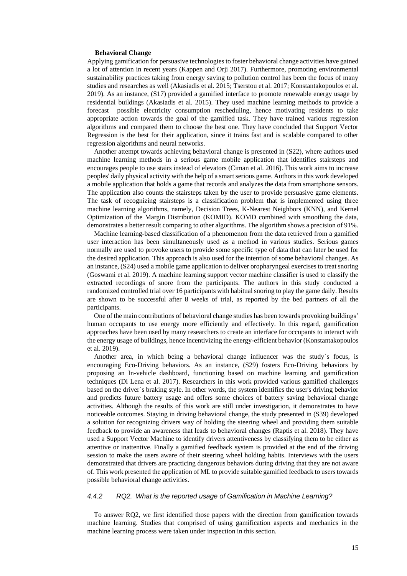#### **Behavioral Change**

Applying gamification for persuasive technologies to foster behavioral change activities have gained a lot of attention in recent years (Kappen and Orji 2017). Furthermore, promoting environmental sustainability practices taking from energy saving to pollution control has been the focus of many studies and researches as well (Akasiadis et al. 2015; Tserstou et al. 2017; Konstantakopoulos et al. 2019). As an instance, (S17) provided a gamified interface to promote renewable energy usage by residential buildings (Akasiadis et al. 2015). They used machine learning methods to provide a forecast possible electricity consumption rescheduling, hence motivating residents to take appropriate action towards the goal of the gamified task. They have trained various regression algorithms and compared them to choose the best one. They have concluded that Support Vector Regression is the best for their application, since it trains fast and is scalable compared to other regression algorithms and neural networks.

 Another attempt towards achieving behavioral change is presented in (S22), where authors used machine learning methods in a serious game mobile application that identifies stairsteps and encourages people to use stairs instead of elevators (Ciman et al. 2016). This work aims to increase peoples' daily physical activity with the help of a smart serious game. Authors in this work developed a mobile application that holds a game that records and analyzes the data from smartphone sensors. The application also counts the stairsteps taken by the user to provide persuasive game elements. The task of recognizing stairsteps is a classification problem that is implemented using three machine learning algorithms, namely, Decision Trees, K-Nearest Neighbors (KNN), and Kernel Optimization of the Margin Distribution (KOMID). KOMD combined with smoothing the data, demonstrates a better result comparing to other algorithms. The algorithm shows a precision of 91%.

 Machine learning-based classification of a phenomenon from the data retrieved from a gamified user interaction has been simultaneously used as a method in various studies. Serious games normally are used to provoke users to provide some specific type of data that can later be used for the desired application. This approach is also used for the intention of some behavioral changes. As an instance, (S24) used a mobile game application to deliver oropharyngeal exercises to treat snoring (Goswami et al. 2019). A machine learning support vector machine classifier is used to classify the extracted recordings of snore from the participants. The authors in this study conducted a randomized controlled trial over 16 participants with habitual snoring to play the game daily. Results are shown to be successful after 8 weeks of trial, as reported by the bed partners of all the participants.

 One of the main contributions of behavioral change studies has been towards provoking buildings' human occupants to use energy more efficiently and effectively. In this regard, gamification approaches have been used by many researchers to create an interface for occupants to interact with the energy usage of buildings, hence incentivizing the energy-efficient behavior (Konstantakopoulos et al. 2019).

 Another area, in which being a behavioral change influencer was the study`s focus, is encouraging Eco-Driving behaviors. As an instance, (S29) fosters Eco-Driving behaviors by proposing an In-vehicle dashboard, functioning based on machine learning and gamification techniques (Di Lena et al. 2017). Researchers in this work provided various gamified challenges based on the driver´s braking style. In other words, the system identifies the user's driving behavior and predicts future battery usage and offers some choices of battery saving behavioral change activities. Although the results of this work are still under investigation, it demonstrates to have noticeable outcomes. Staying in driving behavioral change, the study presented in (S39) developed a solution for recognizing drivers way of holding the steering wheel and providing them suitable feedback to provide an awareness that leads to behavioral changes (Raptis et al. 2018). They have used a Support Vector Machine to identify drivers attentiveness by classifying them to be either as attentive or inattentive. Finally a gamified feedback system is provided at the end of the driving session to make the users aware of their steering wheel holding habits. Interviews with the users demonstrated that drivers are practicing dangerous behaviors during driving that they are not aware of. This work presented the application of ML to provide suitable gamified feedback to users towards possible behavioral change activities.

# *4.4.2 RQ2. What is the reported usage of Gamification in Machine Learning?*

 To answer RQ2, we first identified those papers with the direction from gamification towards machine learning. Studies that comprised of using gamification aspects and mechanics in the machine learning process were taken under inspection in this section.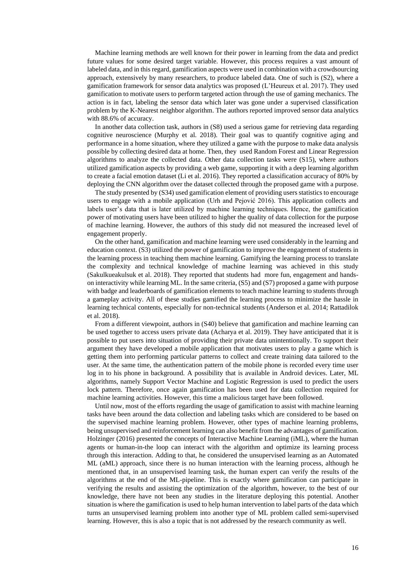Machine learning methods are well known for their power in learning from the data and predict future values for some desired target variable. However, this process requires a vast amount of labeled data, and in this regard, gamification aspects were used in combination with a crowdsourcing approach, extensively by many researchers, to produce labeled data. One of such is (S2), where a gamification framework for sensor data analytics was proposed (L'Heureux et al. 2017). They used gamification to motivate users to perform targeted action through the use of gaming mechanics. The action is in fact, labeling the sensor data which later was gone under a supervised classification problem by the K-Nearest neighbor algorithm. The authors reported improved sensor data analytics with 88.6% of accuracy.

In another data collection task, authors in (S8) used a serious game for retrieving data regarding cognitive neuroscience (Murphy et al. 2018). Their goal was to quantify cognitive aging and performance in a home situation, where they utilized a game with the purpose to make data analysis possible by collecting desired data at home. Then, they used Random Forest and Linear Regression algorithms to analyze the collected data. Other data collection tasks were (S15), where authors utilized gamification aspects by providing a web game, supporting it with a deep learning algorithm to create a facial emotion dataset (Li et al. 2016). They reported a classification accuracy of 80% by deploying the CNN algorithm over the dataset collected through the proposed game with a purpose.

The study presented by (S34) used gamification element of providing users statistics to encourage users to engage with a mobile application (Urh and Pejović 2016). This application collects and labels user's data that is later utilized by machine learning techniques. Hence, the gamification power of motivating users have been utilized to higher the quality of data collection for the purpose of machine learning. However, the authors of this study did not measured the increased level of engagement properly.

On the other hand, gamification and machine learning were used considerably in the learning and education context. (S3) utilized the power of gamification to improve the engagement of students in the learning process in teaching them machine learning. Gamifying the learning process to translate the complexity and technical knowledge of machine learning was achieved in this study (Sakulkueakulsuk et al. 2018). They reported that students had more fun, engagement and handson interactivity while learning ML. In the same criteria, (S5) and (S7) proposed a game with purpose with badge and leaderboards of gamification elements to teach machine learning to students through a gameplay activity. All of these studies gamified the learning process to minimize the hassle in learning technical contents, especially for non-technical students (Anderson et al. 2014; Rattadilok et al. 2018).

From a different viewpoint, authors in (S40) believe that gamification and machine learning can be used together to access users private data (Acharya et al. 2019). They have anticipated that it is possible to put users into situation of providing their private data unintentionally. To support their argument they have developed a mobile application that motivates users to play a game which is getting them into performing particular patterns to collect and create training data tailored to the user. At the same time, the authentication pattern of the mobile phone is recorded every time user log in to his phone in background. A possibility that is available in Android devices. Later, ML algorithms, namely Support Vector Machine and Logistic Regression is used to predict the users lock pattern. Therefore, once again gamification has been used for data collection required for machine learning activities. However, this time a malicious target have been followed.

Until now, most of the efforts regarding the usage of gamification to assist with machine learning tasks have been around the data collection and labeling tasks which are considered to be based on the supervised machine learning problem. However, other types of machine learning problems, being unsupervised and reinforcement learning can also benefit from the advantages of gamification. Holzinger (2016) presented the concepts of Interactive Machine Learning (iML), where the human agents or human-in-the loop can interact with the algorithm and optimize its learning process through this interaction. Adding to that, he considered the unsupervised learning as an Automated ML (aML) approach, since there is no human interaction with the learning process, although he mentioned that, in an unsupervised learning task, the human expert can verify the results of the algorithms at the end of the ML-pipeline. This is exactly where gamification can participate in verifying the results and assisting the optimization of the algorithm, however, to the best of our knowledge, there have not been any studies in the literature deploying this potential. Another situation is where the gamification is used to help human intervention to label parts of the data which turns an unsupervised learning problem into another type of ML problem called semi-supervised learning. However, this is also a topic that is not addressed by the research community as well.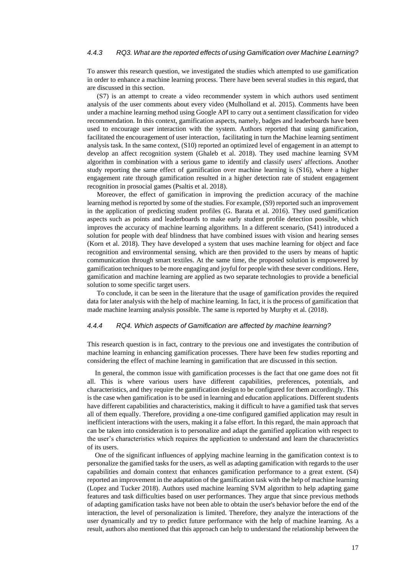# *4.4.3 RQ3. What are the reported effects of using Gamification over Machine Learning?*

To answer this research question, we investigated the studies which attempted to use gamification in order to enhance a machine learning process. There have been several studies in this regard, that are discussed in this section.

(S7) is an attempt to create a video recommender system in which authors used sentiment analysis of the user comments about every video (Mulholland et al. 2015). Comments have been under a machine learning method using Google API to carry out a sentiment classification for video recommendation. In this context, gamification aspects, namely, badges and leaderboards have been used to encourage user interaction with the system. Authors reported that using gamification, facilitated the encouragement of user interaction, facilitating in turn the Machine learning sentiment analysis task. In the same context, (S10) reported an optimized level of engagement in an attempt to develop an affect recognition system (Ghaleb et al. 2018). They used machine learning SVM algorithm in combination with a serious game to identify and classify users' affections. Another study reporting the same effect of gamification over machine learning is (S16), where a higher engagement rate through gamification resulted in a higher detection rate of student engagement recognition in prosocial games (Psaltis et al. 2018).

Moreover, the effect of gamification in improving the prediction accuracy of the machine learning method is reported by some of the studies. For example, (S9) reported such an improvement in the application of predicting student profiles (G. Barata et al. 2016). They used gamification aspects such as points and leaderboards to make early student profile detection possible, which improves the accuracy of machine learning algorithms. In a different scenario, (S41) introduced a solution for people with deaf blindness that have combined issues with vision and hearing senses (Korn et al. 2018). They have developed a system that uses machine learning for object and face recognition and environmental sensing, which are then provided to the users by means of haptic communication through smart textiles. At the same time, the proposed solution is empowered by gamification techniques to be more engaging and joyful for people with these sever conditions. Here, gamification and machine learning are applied as two separate technologies to provide a beneficial solution to some specific target users.

To conclude, it can be seen in the literature that the usage of gamification provides the required data for later analysis with the help of machine learning. In fact, it is the process of gamification that made machine learning analysis possible. The same is reported by Murphy et al. (2018).

### *4.4.4 RQ4. Which aspects of Gamification are affected by machine learning?*

This research question is in fact, contrary to the previous one and investigates the contribution of machine learning in enhancing gamification processes. There have been few studies reporting and considering the effect of machine learning in gamification that are discussed in this section.

In general, the common issue with gamification processes is the fact that one game does not fit all. This is where various users have different capabilities, preferences, potentials, and characteristics, and they require the gamification design to be configured for them accordingly. This is the case when gamification is to be used in learning and education applications. Different students have different capabilities and characteristics, making it difficult to have a gamified task that serves all of them equally. Therefore, providing a one-time configured gamified application may result in inefficient interactions with the users, making it a false effort. In this regard, the main approach that can be taken into consideration is to personalize and adapt the gamified application with respect to the user's characteristics which requires the application to understand and learn the characteristics of its users.

One of the significant influences of applying machine learning in the gamification context is to personalize the gamified tasks for the users, as well as adapting gamification with regards to the user capabilities and domain context that enhances gamification performance to a great extent. (S4) reported an improvement in the adaptation of the gamification task with the help of machine learning (Lopez and Tucker 2018). Authors used machine learning SVM algorithm to help adapting game features and task difficulties based on user performances. They argue that since previous methods of adapting gamification tasks have not been able to obtain the user's behavior before the end of the interaction, the level of personalization is limited. Therefore, they analyze the interactions of the user dynamically and try to predict future performance with the help of machine learning. As a result, authors also mentioned that this approach can help to understand the relationship between the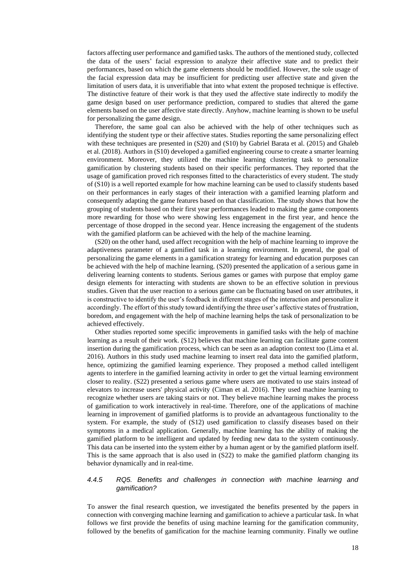factors affecting user performance and gamified tasks. The authors of the mentioned study, collected the data of the users' facial expression to analyze their affective state and to predict their performances, based on which the game elements should be modified. However, the sole usage of the facial expression data may be insufficient for predicting user affective state and given the limitation of users data, it is unverifiable that into what extent the proposed technique is effective. The distinctive feature of their work is that they used the affective state indirectly to modify the game design based on user performance prediction, compared to studies that altered the game elements based on the user affective state directly. Anyhow, machine learning is shown to be useful for personalizing the game design.

Therefore, the same goal can also be achieved with the help of other techniques such as identifying the student type or their affective states. Studies reporting the same personalizing effect with these techniques are presented in (S20) and (S10) by Gabriel Barata et al. (2015) and Ghaleb et al. (2018). Authors in (S10) developed a gamified engineering course to create a smarter learning environment. Moreover, they utilized the machine learning clustering task to personalize gamification by clustering students based on their specific performances. They reported that the usage of gamification proved rich responses fitted to the characteristics of every student. The study of (S10) is a well reported example for how machine learning can be used to classify students based on their performances in early stages of their interaction with a gamified learning platform and consequently adapting the game features based on that classification. The study shows that how the grouping of students based on their first year performances leaded to making the game components more rewarding for those who were showing less engagement in the first year, and hence the percentage of those dropped in the second year. Hence increasing the engagement of the students with the gamified platform can be achieved with the help of the machine learning.

(S20) on the other hand, used affect recognition with the help of machine learning to improve the adaptiveness parameter of a gamified task in a learning environment. In general, the goal of personalizing the game elements in a gamification strategy for learning and education purposes can be achieved with the help of machine learning. (S20) presented the application of a serious game in delivering learning contents to students. Serious games or games with purpose that employ game design elements for interacting with students are shown to be an effective solution in previous studies. Given that the user reaction to a serious game can be fluctuating based on user attributes, it is constructive to identify the user's feedback in different stages of the interaction and personalize it accordingly. The effort of this study toward identifying the three user's affective states of frustration, boredom, and engagement with the help of machine learning helps the task of personalization to be achieved effectively.

Other studies reported some specific improvements in gamified tasks with the help of machine learning as a result of their work. (S12) believes that machine learning can facilitate game content insertion during the gamification process, which can be seen as an adaption context too (Lima et al. 2016). Authors in this study used machine learning to insert real data into the gamified platform, hence, optimizing the gamified learning experience. They proposed a method called intelligent agents to interfere in the gamified learning activity in order to get the virtual learning environment closer to reality. (S22) presented a serious game where users are motivated to use stairs instead of elevators to increase users' physical activity (Ciman et al. 2016). They used machine learning to recognize whether users are taking stairs or not. They believe machine learning makes the process of gamification to work interactively in real-time. Therefore, one of the applications of machine learning in improvement of gamified platforms is to provide an advantageous functionality to the system. For example, the study of (S12) used gamification to classify diseases based on their symptoms in a medical application. Generally, machine learning has the ability of making the gamified platform to be intelligent and updated by feeding new data to the system continuously. This data can be inserted into the system either by a human agent or by the gamified platform itself. This is the same approach that is also used in (S22) to make the gamified platform changing its behavior dynamically and in real-time.

### *4.4.5 RQ5. Benefits and challenges in connection with machine learning and gamification?*

To answer the final research question, we investigated the benefits presented by the papers in connection with converging machine learning and gamification to achieve a particular task. In what follows we first provide the benefits of using machine learning for the gamification community, followed by the benefits of gamification for the machine learning community. Finally we outline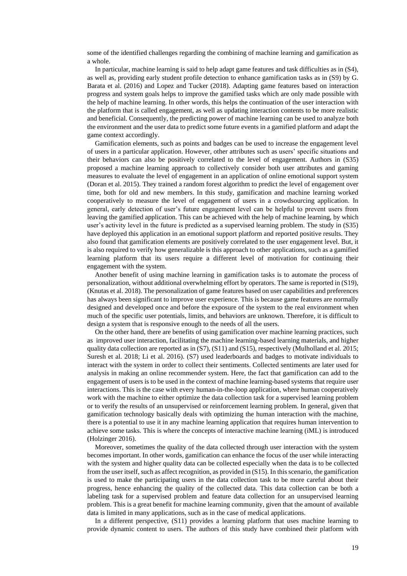some of the identified challenges regarding the combining of machine learning and gamification as a whole.

In particular, machine learning is said to help adapt game features and task difficulties as in (S4), as well as, providing early student profile detection to enhance gamification tasks as in (S9) by G. Barata et al. (2016) and Lopez and Tucker (2018). Adapting game features based on interaction progress and system goals helps to improve the gamified tasks which are only made possible with the help of machine learning. In other words, this helps the continuation of the user interaction with the platform that is called engagement, as well as updating interaction contents to be more realistic and beneficial. Consequently, the predicting power of machine learning can be used to analyze both the environment and the user data to predict some future events in a gamified platform and adapt the game context accordingly.

Gamification elements, such as points and badges can be used to increase the engagement level of users in a particular application. However, other attributes such as users' specific situations and their behaviors can also be positively correlated to the level of engagement. Authors in (S35) proposed a machine learning approach to collectively consider both user attributes and gaming measures to evaluate the level of engagement in an application of online emotional support system (Doran et al. 2015). They trained a random forest algorithm to predict the level of engagement over time, both for old and new members. In this study, gamification and machine learning worked cooperatively to measure the level of engagement of users in a crowdsourcing application. In general, early detection of user's future engagement level can be helpful to prevent users from leaving the gamified application. This can be achieved with the help of machine learning, by which user's activity level in the future is predicted as a supervised learning problem. The study in (S35) have deployed this application in an emotional support platform and reported positive results. They also found that gamification elements are positively correlated to the user engagement level. But, it is also required to verify how generalizable is this approach to other applications, such as a gamified learning platform that its users require a different level of motivation for continuing their engagement with the system.

Another benefit of using machine learning in gamification tasks is to automate the process of personalization, without additional overwhelming effort by operators. The same is reported in (S19), (Knutas et al. 2018). The personalization of game features based on user capabilities and preferences has always been significant to improve user experience. This is because game features are normally designed and developed once and before the exposure of the system to the real environment when much of the specific user potentials, limits, and behaviors are unknown. Therefore, it is difficult to design a system that is responsive enough to the needs of all the users.

On the other hand, there are benefits of using gamification over machine learning practices, such as improved user interaction, facilitating the machine learning-based learning materials, and higher quality data collection are reported as in (S7), (S11) and (S15), respectively (Mulholland et al. 2015; Suresh et al. 2018; Li et al. 2016). (S7) used leaderboards and badges to motivate individuals to interact with the system in order to collect their sentiments. Collected sentiments are later used for analysis in making an online recommender system. Here, the fact that gamification can add to the engagement of users is to be used in the context of machine learning-based systems that require user interactions. This is the case with every human-in-the-loop application, where human cooperatively work with the machine to either optimize the data collection task for a supervised learning problem or to verify the results of an unsupervised or reinforcement learning problem. In general, given that gamification technology basically deals with optimizing the human interaction with the machine, there is a potential to use it in any machine learning application that requires human intervention to achieve some tasks. This is where the concepts of interactive machine learning (iML) is introduced (Holzinger 2016).

Moreover, sometimes the quality of the data collected through user interaction with the system becomes important. In other words, gamification can enhance the focus of the user while interacting with the system and higher quality data can be collected especially when the data is to be collected from the user itself, such as affect recognition, as provided in (S15). In this scenario, the gamification is used to make the participating users in the data collection task to be more careful about their progress, hence enhancing the quality of the collected data. This data collection can be both a labeling task for a supervised problem and feature data collection for an unsupervised learning problem. This is a great benefit for machine learning community, given that the amount of available data is limited in many applications, such as in the case of medical applications.

In a different perspective, (S11) provides a learning platform that uses machine learning to provide dynamic content to users. The authors of this study have combined their platform with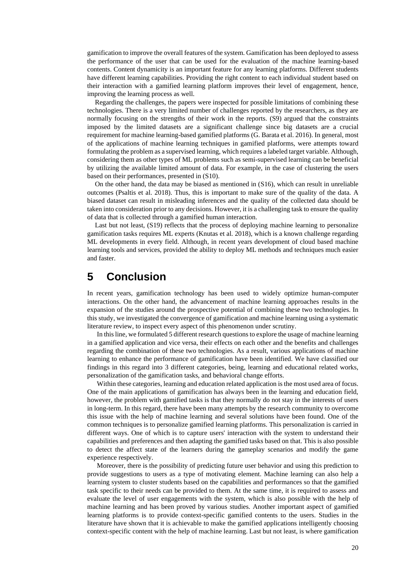gamification to improve the overall features of the system. Gamification has been deployed to assess the performance of the user that can be used for the evaluation of the machine learning-based contents. Content dynamicity is an important feature for any learning platforms. Different students have different learning capabilities. Providing the right content to each individual student based on their interaction with a gamified learning platform improves their level of engagement, hence, improving the learning process as well.

Regarding the challenges, the papers were inspected for possible limitations of combining these technologies. There is a very limited number of challenges reported by the researchers, as they are normally focusing on the strengths of their work in the reports. (S9) argued that the constraints imposed by the limited datasets are a significant challenge since big datasets are a crucial requirement for machine learning-based gamified platforms (G. Barata et al. 2016). In general, most of the applications of machine learning techniques in gamified platforms, were attempts toward formulating the problem as a supervised learning, which requires a labeled target variable. Although, considering them as other types of ML problems such as semi-supervised learning can be beneficial by utilizing the available limited amount of data. For example, in the case of clustering the users based on their performances, presented in (S10).

On the other hand, the data may be biased as mentioned in (S16), which can result in unreliable outcomes (Psaltis et al. 2018). Thus, this is important to make sure of the quality of the data. A biased dataset can result in misleading inferences and the quality of the collected data should be taken into consideration prior to any decisions. However, it is a challenging task to ensure the quality of data that is collected through a gamified human interaction.

Last but not least, (S19) reflects that the process of deploying machine learning to personalize gamification tasks requires ML experts (Knutas et al. 2018), which is a known challenge regarding ML developments in every field. Although, in recent years development of cloud based machine learning tools and services, provided the ability to deploy ML methods and techniques much easier and faster.

# **5 Conclusion**

In recent years, gamification technology has been used to widely optimize human-computer interactions. On the other hand, the advancement of machine learning approaches results in the expansion of the studies around the prospective potential of combining these two technologies. In this study, we investigated the convergence of gamification and machine learning using a systematic literature review, to inspect every aspect of this phenomenon under scrutiny.

In this line, we formulated 5 different research questions to explore the usage of machine learning in a gamified application and vice versa, their effects on each other and the benefits and challenges regarding the combination of these two technologies. As a result, various applications of machine learning to enhance the performance of gamification have been identified. We have classified our findings in this regard into 3 different categories, being, learning and educational related works, personalization of the gamification tasks, and behavioral change efforts.

Within these categories, learning and education related application is the most used area of focus. One of the main applications of gamification has always been in the learning and education field, however, the problem with gamified tasks is that they normally do not stay in the interests of users in long-term. In this regard, there have been many attempts by the research community to overcome this issue with the help of machine learning and several solutions have been found. One of the common techniques is to personalize gamified learning platforms. This personalization is carried in different ways. One of which is to capture users' interaction with the system to understand their capabilities and preferences and then adapting the gamified tasks based on that. This is also possible to detect the affect state of the learners during the gameplay scenarios and modify the game experience respectively.

Moreover, there is the possibility of predicting future user behavior and using this prediction to provide suggestions to users as a type of motivating element. Machine learning can also help a learning system to cluster students based on the capabilities and performances so that the gamified task specific to their needs can be provided to them. At the same time, it is required to assess and evaluate the level of user engagements with the system, which is also possible with the help of machine learning and has been proved by various studies. Another important aspect of gamified learning platforms is to provide context-specific gamified contents to the users. Studies in the literature have shown that it is achievable to make the gamified applications intelligently choosing context-specific content with the help of machine learning. Last but not least, is where gamification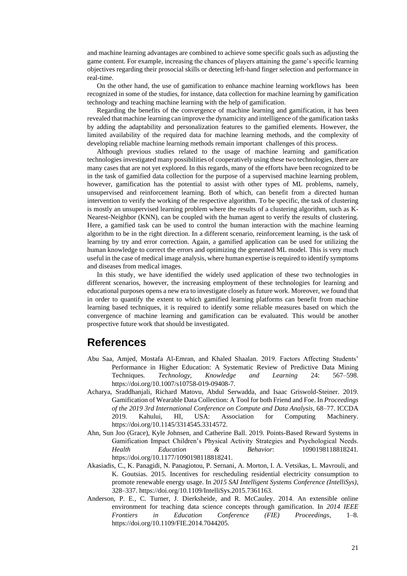and machine learning advantages are combined to achieve some specific goals such as adjusting the game content. For example, increasing the chances of players attaining the game's specific learning objectives regarding their prosocial skills or detecting left-hand finger selection and performance in real-time.

On the other hand, the use of gamification to enhance machine learning workflows has been recognized in some of the studies, for instance, data collection for machine learning by gamification technology and teaching machine learning with the help of gamification.

Regarding the benefits of the convergence of machine learning and gamification, it has been revealed that machine learning can improve the dynamicity and intelligence of the gamification tasks by adding the adaptability and personalization features to the gamified elements. However, the limited availability of the required data for machine learning methods, and the complexity of developing reliable machine learning methods remain important challenges of this process.

Although previous studies related to the usage of machine learning and gamification technologies investigated many possibilities of cooperatively using these two technologies, there are many cases that are not yet explored. In this regards, many of the efforts have been recognized to be in the task of gamified data collection for the purpose of a supervised machine learning problem, however, gamification has the potential to assist with other types of ML problems, namely, unsupervised and reinforcement learning. Both of which, can benefit from a directed human intervention to verify the working of the respective algorithm. To be specific, the task of clustering is mostly an unsupervised learning problem where the results of a clustering algorithm, such as K-Nearest-Neighbor (KNN), can be coupled with the human agent to verify the results of clustering. Here, a gamified task can be used to control the human interaction with the machine learning algorithm to be in the right direction. In a different scenario, reinforcement learning, is the task of learning by try and error correction. Again, a gamified application can be used for utilizing the human knowledge to correct the errors and optimizing the generated ML model. This is very much useful in the case of medical image analysis, where human expertise is required to identify symptoms and diseases from medical images.

In this study, we have identified the widely used application of these two technologies in different scenarios, however, the increasing employment of these technologies for learning and educational purposes opens a new era to investigate closely as future work. Moreover, we found that in order to quantify the extent to which gamified learning platforms can benefit from machine learning based techniques, it is required to identify some reliable measures based on which the convergence of machine learning and gamification can be evaluated. This would be another prospective future work that should be investigated.

# **References**

- Abu Saa, Amjed, Mostafa Al-Emran, and Khaled Shaalan. 2019. Factors Affecting Students' Performance in Higher Education: A Systematic Review of Predictive Data Mining Techniques. *Technology, Knowledge and Learning* 24: 567–598. https://doi.org/10.1007/s10758-019-09408-7.
- Acharya, Sraddhanjali, Richard Matovu, Abdul Serwadda, and Isaac Griswold-Steiner. 2019. Gamification of Wearable Data Collection: A Tool for both Friend and Foe. In *Proceedings of the 2019 3rd International Conference on Compute and Data Analysis*, 68–77. ICCDA 2019. Kahului, HI, USA: Association for Computing Machinery. https://doi.org/10.1145/3314545.3314572.
- Ahn, Sun Joo (Grace), Kyle Johnsen, and Catherine Ball. 2019. Points-Based Reward Systems in Gamification Impact Children's Physical Activity Strategies and Psychological Needs. *Health Education & Behavior*: 1090198118818241. https://doi.org/10.1177/1090198118818241.
- Akasiadis, C., K. Panagidi, N. Panagiotou, P. Sernani, A. Morton, I. A. Vetsikas, L. Mavrouli, and K. Goutsias. 2015. Incentives for rescheduling residential electricity consumption to promote renewable energy usage. In *2015 SAI Intelligent Systems Conference (IntelliSys)*, 328–337. https://doi.org/10.1109/IntelliSys.2015.7361163.
- Anderson, P. E., C. Turner, J. Dierksheide, and R. McCauley. 2014. An extensible online environment for teaching data science concepts through gamification. In *2014 IEEE Frontiers in Education Conference (FIE) Proceedings*, 1–8. https://doi.org/10.1109/FIE.2014.7044205.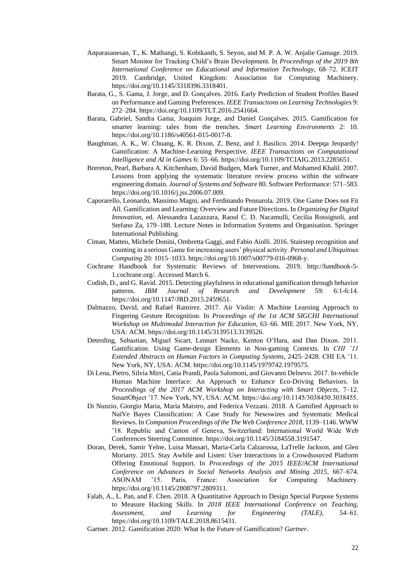- Anparasanesan, T., K. Mathangi, S. Kobikanth, S. Seyon, and M. P. A. W. Anjalie Gamage. 2019. Smart Monitor for Tracking Child's Brain Development. In *Proceedings of the 2019 8th International Conference on Educational and Information Technology*, 68–72. ICEIT 2019. Cambridge, United Kingdom: Association for Computing Machinery. https://doi.org/10.1145/3318396.3318401.
- Barata, G., S. Gama, J. Jorge, and D. Gonçalves. 2016. Early Prediction of Student Profiles Based on Performance and Gaming Preferences. *IEEE Transactions on Learning Technologies* 9: 272–284. https://doi.org/10.1109/TLT.2016.2541664.
- Barata, Gabriel, Sandra Gama, Joaquim Jorge, and Daniel Gonçalves. 2015. Gamification for smarter learning: tales from the trenches. *Smart Learning Environments* 2: 10. https://doi.org/10.1186/s40561-015-0017-8.
- Baughman, A. K., W. Chuang, K. R. Dixon, Z. Benz, and J. Basilico. 2014. Deepqa Jeopardy! Gamification: A Machine-Learning Perspective. *IEEE Transactions on Computational Intelligence and AI in Games* 6: 55–66. https://doi.org/10.1109/TCIAIG.2013.2285651.
- Brereton, Pearl, Barbara A. Kitchenham, David Budgen, Mark Turner, and Mohamed Khalil. 2007. Lessons from applying the systematic literature review process within the software engineering domain. *Journal of Systems and Software* 80. Software Performance: 571–583. https://doi.org/10.1016/j.jss.2006.07.009.
- Caporarello, Leonardo, Massimo Magni, and Ferdinando Pennarola. 2019. One Game Does not Fit All. Gamification and Learning: Overview and Future Directions. In *Organizing for Digital Innovation*, ed. Alessandra Lazazzara, Raoul C. D. Nacamulli, Cecilia Rossignoli, and Stefano Za, 179–188. Lecture Notes in Information Systems and Organisation. Springer International Publishing.
- Ciman, Matteo, Michele Donini, Ombretta Gaggi, and Fabio Aiolli. 2016. Stairstep recognition and counting in a serious Game for increasing users' physical activity. *Personal and Ubiquitous Computing* 20: 1015–1033. https://doi.org/10.1007/s00779-016-0968-y.
- Cochrane Handbook for Systematic Reviews of Interventions. 2019. http://handbook-5- 1.cochrane.org/. Accessed March 6.
- Codish, D., and G. Ravid. 2015. Detecting playfulness in educational gamification through behavior patterns. *IBM Journal of Research and Development* 59: 6:1-6:14. https://doi.org/10.1147/JRD.2015.2459651.
- Dalmazzo, David, and Rafael Ramirez. 2017. Air Violin: A Machine Learning Approach to Fingering Gesture Recognition. In *Proceedings of the 1st ACM SIGCHI International Workshop on Multimodal Interaction for Education*, 63–66. MIE 2017. New York, NY, USA: ACM. https://doi.org/10.1145/3139513.3139526.
- Deterding, Sebastian, Miguel Sicart, Lennart Nacke, Kenton O'Hara, and Dan Dixon. 2011. Gamification. Using Game-design Elements in Non-gaming Contexts. In *CHI '11 Extended Abstracts on Human Factors in Computing Systems*, 2425–2428. CHI EA '11. New York, NY, USA: ACM. https://doi.org/10.1145/1979742.1979575.
- Di Lena, Pietro, Silvia Mirri, Catia Prandi, Paola Salomoni, and Giovanni Delnevo. 2017. In-vehicle Human Machine Interface: An Approach to Enhance Eco-Driving Behaviors. In *Proceedings of the 2017 ACM Workshop on Interacting with Smart Objects*, 7–12. SmartObject '17. New York, NY, USA: ACM. https://doi.org/10.1145/3038450.3038455.
- Di Nunzio, Giorgio Maria, Maria Maistro, and Federica Vezzani. 2018. A Gamified Approach to NaïVe Bayes Classification: A Case Study for Newswires and Systematic Medical Reviews. In *Companion Proceedings of the The Web Conference 2018*, 1139–1146. WWW '18. Republic and Canton of Geneva, Switzerland: International World Wide Web Conferences Steering Committee. https://doi.org/10.1145/3184558.3191547.
- Doran, Derek, Samir Yelne, Luisa Massari, Maria-Carla Calzarossa, LaTrelle Jackson, and Glen Moriarty. 2015. Stay Awhile and Listen: User Interactions in a Crowdsourced Platform Offering Emotional Support. In *Proceedings of the 2015 IEEE/ACM International Conference on Advances in Social Networks Analysis and Mining 2015*, 667–674. ASONAM '15. Paris, France: Association for Computing Machinery. https://doi.org/10.1145/2808797.2809311.
- Falah, A., L. Pan, and F. Chen. 2018. A Quantitative Approach to Design Special Purpose Systems to Measure Hacking Skills. In *2018 IEEE International Conference on Teaching, Assessment, and Learning for Engineering (TALE)*, 54–61. https://doi.org/10.1109/TALE.2018.8615431.
- Gartner. 2012. Gamification 2020: What Is the Future of Gamification? *Gartner*.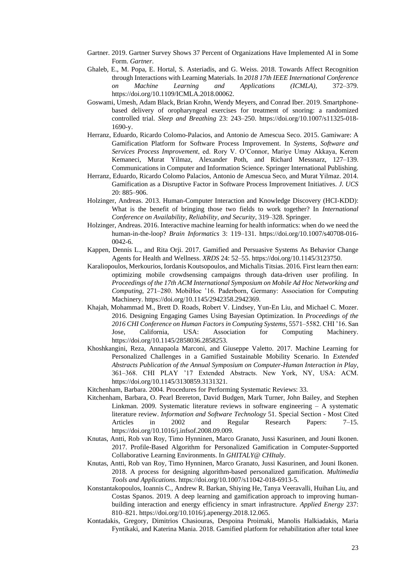- Gartner. 2019. Gartner Survey Shows 37 Percent of Organizations Have Implemented AI in Some Form. *Gartner*.
- Ghaleb, E., M. Popa, E. Hortal, S. Asteriadis, and G. Weiss. 2018. Towards Affect Recognition through Interactions with Learning Materials. In *2018 17th IEEE International Conference on Machine Learning and Applications (ICMLA)*, 372–379. https://doi.org/10.1109/ICMLA.2018.00062.
- Goswami, Umesh, Adam Black, Brian Krohn, Wendy Meyers, and Conrad Iber. 2019. Smartphonebased delivery of oropharyngeal exercises for treatment of snoring: a randomized controlled trial. *Sleep and Breathing* 23: 243–250. https://doi.org/10.1007/s11325-018- 1690-y.
- Herranz, Eduardo, Ricardo Colomo-Palacios, and Antonio de Amescua Seco. 2015. Gamiware: A Gamification Platform for Software Process Improvement. In *Systems, Software and Services Process Improvement*, ed. Rory V. O'Connor, Mariye Umay Akkaya, Kerem Kemaneci, Murat Yilmaz, Alexander Poth, and Richard Messnarz, 127–139. Communications in Computer and Information Science. Springer International Publishing.
- Herranz, Eduardo, Ricardo Colomo Palacios, Antonio de Amescua Seco, and Murat Yilmaz. 2014. Gamification as a Disruptive Factor in Software Process Improvement Initiatives. *J. UCS* 20: 885–906.
- Holzinger, Andreas. 2013. Human-Computer Interaction and Knowledge Discovery (HCI-KDD): What is the benefit of bringing those two fields to work together? In *International Conference on Availability, Reliability, and Security*, 319–328. Springer.
- Holzinger, Andreas. 2016. Interactive machine learning for health informatics: when do we need the human-in-the-loop? *Brain Informatics* 3: 119–131. https://doi.org/10.1007/s40708-016- 0042-6.
- Kappen, Dennis L., and Rita Orji. 2017. Gamified and Persuasive Systems As Behavior Change Agents for Health and Wellness. *XRDS* 24: 52–55. https://doi.org/10.1145/3123750.
- Karaliopoulos, Merkourios, Iordanis Koutsopoulos, and Michalis Titsias. 2016. First learn then earn: optimizing mobile crowdsensing campaigns through data-driven user profiling. In *Proceedings of the 17th ACM International Symposium on Mobile Ad Hoc Networking and Computing*, 271–280. MobiHoc '16. Paderborn, Germany: Association for Computing Machinery. https://doi.org/10.1145/2942358.2942369.
- Khajah, Mohammad M., Brett D. Roads, Robert V. Lindsey, Yun-En Liu, and Michael C. Mozer. 2016. Designing Engaging Games Using Bayesian Optimization. In *Proceedings of the 2016 CHI Conference on Human Factors in Computing Systems*, 5571–5582. CHI '16. San Jose, California, USA: Association for Computing Machinery. https://doi.org/10.1145/2858036.2858253.
- Khoshkangini, Reza, Annapaola Marconi, and Giuseppe Valetto. 2017. Machine Learning for Personalized Challenges in a Gamified Sustainable Mobility Scenario. In *Extended Abstracts Publication of the Annual Symposium on Computer-Human Interaction in Play*, 361–368. CHI PLAY '17 Extended Abstracts. New York, NY, USA: ACM. https://doi.org/10.1145/3130859.3131321.
- Kitchenham, Barbara. 2004. Procedures for Performing Systematic Reviews: 33.
- Kitchenham, Barbara, O. Pearl Brereton, David Budgen, Mark Turner, John Bailey, and Stephen Linkman. 2009. Systematic literature reviews in software engineering – A systematic literature review. *Information and Software Technology* 51. Special Section - Most Cited Articles in 2002 and Regular Research Papers: 7–15. https://doi.org/10.1016/j.infsof.2008.09.009.
- Knutas, Antti, Rob van Roy, Timo Hynninen, Marco Granato, Jussi Kasurinen, and Jouni Ikonen. 2017. Profile-Based Algorithm for Personalized Gamification in Computer-Supported Collaborative Learning Environments. In *GHITALY@ CHItaly*.
- Knutas, Antti, Rob van Roy, Timo Hynninen, Marco Granato, Jussi Kasurinen, and Jouni Ikonen. 2018. A process for designing algorithm-based personalized gamification. *Multimedia Tools and Applications*. https://doi.org/10.1007/s11042-018-6913-5.
- Konstantakopoulos, Ioannis C., Andrew R. Barkan, Shiying He, Tanya Veeravalli, Huihan Liu, and Costas Spanos. 2019. A deep learning and gamification approach to improving humanbuilding interaction and energy efficiency in smart infrastructure. *Applied Energy* 237: 810–821. https://doi.org/10.1016/j.apenergy.2018.12.065.
- Kontadakis, Gregory, Dimitrios Chasiouras, Despoina Proimaki, Manolis Halkiadakis, Maria Fyntikaki, and Katerina Mania. 2018. Gamified platform for rehabilitation after total knee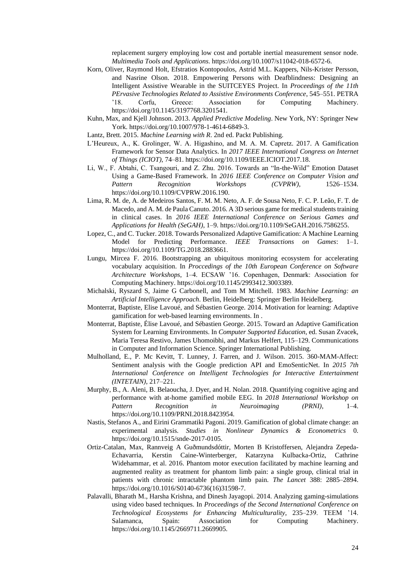replacement surgery employing low cost and portable inertial measurement sensor node. *Multimedia Tools and Applications*. https://doi.org/10.1007/s11042-018-6572-6.

- Korn, Oliver, Raymond Holt, Efstratios Kontopoulos, Astrid M.L. Kappers, Nils-Krister Persson, and Nasrine Olson. 2018. Empowering Persons with Deafblindness: Designing an Intelligent Assistive Wearable in the SUITCEYES Project. In *Proceedings of the 11th PErvasive Technologies Related to Assistive Environments Conference*, 545–551. PETRA '18. Corfu, Greece: Association for Computing Machinery. https://doi.org/10.1145/3197768.3201541.
- Kuhn, Max, and Kjell Johnson. 2013. *Applied Predictive Modeling*. New York, NY: Springer New York. https://doi.org/10.1007/978-1-4614-6849-3.
- Lantz, Brett. 2015. *Machine Learning with R*. 2nd ed. Packt Publishing.
- L'Heureux, A., K. Grolinger, W. A. Higashino, and M. A. M. Capretz. 2017. A Gamification Framework for Sensor Data Analytics. In *2017 IEEE International Congress on Internet of Things (ICIOT)*, 74–81. https://doi.org/10.1109/IEEE.ICIOT.2017.18.
- Li, W., F. Abtahi, C. Tsangouri, and Z. Zhu. 2016. Towards an "In-the-Wild" Emotion Dataset Using a Game-Based Framework. In *2016 IEEE Conference on Computer Vision and Pattern Recognition Workshops (CVPRW)*, 1526–1534. https://doi.org/10.1109/CVPRW.2016.190.
- Lima, R. M. de, A. de Medeiros Santos, F. M. M. Neto, A. F. de Sousa Neto, F. C. P. Leão, F. T. de Macedo, and A. M. de Paula Canuto. 2016. A 3D serious game for medical students training in clinical cases. In *2016 IEEE International Conference on Serious Games and Applications for Health (SeGAH)*, 1–9. https://doi.org/10.1109/SeGAH.2016.7586255.
- Lopez, C., and C. Tucker. 2018. Towards Personalized Adaptive Gamification: A Machine Learning Model for Predicting Performance. *IEEE Transactions on Games*: 1–1. https://doi.org/10.1109/TG.2018.2883661.
- Lungu, Mircea F. 2016. Bootstrapping an ubiquitous monitoring ecosystem for accelerating vocabulary acquisition. In *Proccedings of the 10th European Conference on Software Architecture Workshops*, 1–4. ECSAW '16. Copenhagen, Denmark: Association for Computing Machinery. https://doi.org/10.1145/2993412.3003389.
- Michalski, Ryszard S, Jaime G Carbonell, and Tom M Mitchell. 1983. *Machine Learning: an Artificial Intelligence Approach*. Berlin, Heidelberg: Springer Berlin Heidelberg.
- Monterrat, Baptiste, Elise Lavoué, and Sébastien George. 2014. Motivation for learning: Adaptive gamification for web-based learning environments. In .
- Monterrat, Baptiste, Élise Lavoué, and Sébastien George. 2015. Toward an Adaptive Gamification System for Learning Environments. In *Computer Supported Education*, ed. Susan Zvacek, Maria Teresa Restivo, James Uhomoibhi, and Markus Helfert, 115–129. Communications in Computer and Information Science. Springer International Publishing.
- Mulholland, E., P. Mc Kevitt, T. Lunney, J. Farren, and J. Wilson. 2015. 360-MAM-Affect: Sentiment analysis with the Google prediction API and EmoSenticNet. In *2015 7th International Conference on Intelligent Technologies for Interactive Entertainment (INTETAIN)*, 217–221.
- Murphy, B., A. Aleni, B. Belaoucha, J. Dyer, and H. Nolan. 2018. Quantifying cognitive aging and performance with at-home gamified mobile EEG. In *2018 International Workshop on Pattern Recognition in Neuroimaging (PRNI)*, 1–4. https://doi.org/10.1109/PRNI.2018.8423954.
- Nastis, Stefanos A., and Eirini Grammatiki Pagoni. 2019. Gamification of global climate change: an experimental analysis. *Studies in Nonlinear Dynamics & Econometrics* 0. https://doi.org/10.1515/snde-2017-0105.
- Ortiz-Catalan, Max, Rannveig A Guðmundsdóttir, Morten B Kristoffersen, Alejandra Zepeda-Echavarria, Kerstin Caine-Winterberger, Katarzyna Kulbacka-Ortiz, Cathrine Widehammar, et al. 2016. Phantom motor execution facilitated by machine learning and augmented reality as treatment for phantom limb pain: a single group, clinical trial in patients with chronic intractable phantom limb pain. *The Lancet* 388: 2885–2894. https://doi.org/10.1016/S0140-6736(16)31598-7.
- Palavalli, Bharath M., Harsha Krishna, and Dinesh Jayagopi. 2014. Analyzing gaming-simulations using video based techniques. In *Proceedings of the Second International Conference on Technological Ecosystems for Enhancing Multiculturality*, 235–239. TEEM '14. Salamanca, Spain: Association for Computing Machinery. https://doi.org/10.1145/2669711.2669905.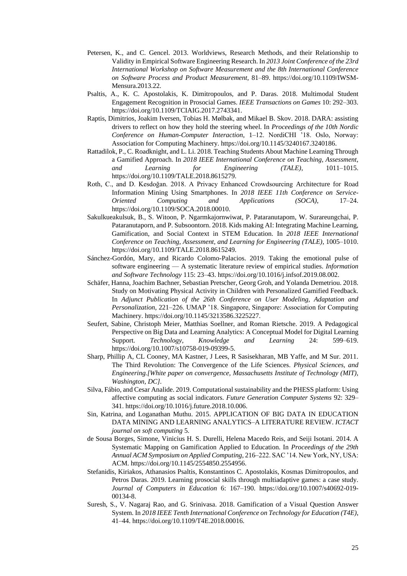- Petersen, K., and C. Gencel. 2013. Worldviews, Research Methods, and their Relationship to Validity in Empirical Software Engineering Research. In *2013 Joint Conference of the 23rd International Workshop on Software Measurement and the 8th International Conference on Software Process and Product Measurement*, 81–89. https://doi.org/10.1109/IWSM-Mensura.2013.22.
- Psaltis, A., K. C. Apostolakis, K. Dimitropoulos, and P. Daras. 2018. Multimodal Student Engagement Recognition in Prosocial Games. *IEEE Transactions on Games* 10: 292–303. https://doi.org/10.1109/TCIAIG.2017.2743341.
- Raptis, Dimitrios, Joakim Iversen, Tobias H. Mølbak, and Mikael B. Skov. 2018. DARA: assisting drivers to reflect on how they hold the steering wheel. In *Proceedings of the 10th Nordic Conference on Human-Computer Interaction*, 1–12. NordiCHI '18. Oslo, Norway: Association for Computing Machinery. https://doi.org/10.1145/3240167.3240186.
- Rattadilok, P., C. Roadknight, and L. Li. 2018. Teaching Students About Machine Learning Through a Gamified Approach. In *2018 IEEE International Conference on Teaching, Assessment, and Learning for Engineering (TALE)*, 1011–1015. https://doi.org/10.1109/TALE.2018.8615279.
- Roth, C., and D. Kesdoğan. 2018. A Privacy Enhanced Crowdsourcing Architecture for Road Information Mining Using Smartphones. In *2018 IEEE 11th Conference on Service-Oriented Computing and Applications (SOCA)*, 17–24. https://doi.org/10.1109/SOCA.2018.00010.
- Sakulkueakulsuk, B., S. Witoon, P. Ngarmkajornwiwat, P. Pataranutapom, W. Surareungchai, P. Pataranutaporn, and P. Subsoontorn. 2018. Kids making AI: Integrating Machine Learning, Gamification, and Social Context in STEM Education. In *2018 IEEE International Conference on Teaching, Assessment, and Learning for Engineering (TALE)*, 1005–1010. https://doi.org/10.1109/TALE.2018.8615249.
- Sánchez-Gordón, Mary, and Ricardo Colomo-Palacios. 2019. Taking the emotional pulse of software engineering — A systematic literature review of empirical studies. *Information and Software Technology* 115: 23–43. https://doi.org/10.1016/j.infsof.2019.08.002.
- Schäfer, Hanna, Joachim Bachner, Sebastian Pretscher, Georg Groh, and Yolanda Demetriou. 2018. Study on Motivating Physical Activity in Children with Personalized Gamified Feedback. In *Adjunct Publication of the 26th Conference on User Modeling, Adaptation and Personalization*, 221–226. UMAP '18. Singapore, Singapore: Association for Computing Machinery. https://doi.org/10.1145/3213586.3225227.
- Seufert, Sabine, Christoph Meier, Matthias Soellner, and Roman Rietsche. 2019. A Pedagogical Perspective on Big Data and Learning Analytics: A Conceptual Model for Digital Learning Support. *Technology, Knowledge and Learning* 24: 599–619. https://doi.org/10.1007/s10758-019-09399-5.
- Sharp, Phillip A, CL Cooney, MA Kastner, J Lees, R Sasisekharan, MB Yaffe, and M Sur. 2011. The Third Revolution: The Convergence of the Life Sciences. *Physical Sciences, and Engineering.[White paper on convergence, Massachusetts Institute of Technology (MIT), Washington, DC]*.
- Silva, Fábio, and Cesar Analide. 2019. Computational sustainability and the PHESS platform: Using affective computing as social indicators. *Future Generation Computer Systems* 92: 329– 341. https://doi.org/10.1016/j.future.2018.10.006.
- Sin, Katrina, and Loganathan Muthu. 2015. APPLICATION OF BIG DATA IN EDUCATION DATA MINING AND LEARNING ANALYTICS–A LITERATURE REVIEW. *ICTACT journal on soft computing* 5.
- de Sousa Borges, Simone, Vinicius H. S. Durelli, Helena Macedo Reis, and Seiji Isotani. 2014. A Systematic Mapping on Gamification Applied to Education. In *Proceedings of the 29th Annual ACM Symposium on Applied Computing*, 216–222. SAC '14. New York, NY, USA: ACM. https://doi.org/10.1145/2554850.2554956.
- Stefanidis, Kiriakos, Athanasios Psaltis, Konstantinos C. Apostolakis, Kosmas Dimitropoulos, and Petros Daras. 2019. Learning prosocial skills through multiadaptive games: a case study. *Journal of Computers in Education* 6: 167–190. https://doi.org/10.1007/s40692-019- 00134-8.
- Suresh, S., V. Nagaraj Rao, and G. Srinivasa. 2018. Gamification of a Visual Question Answer System. In *2018 IEEE Tenth International Conference on Technology for Education (T4E)*, 41–44. https://doi.org/10.1109/T4E.2018.00016.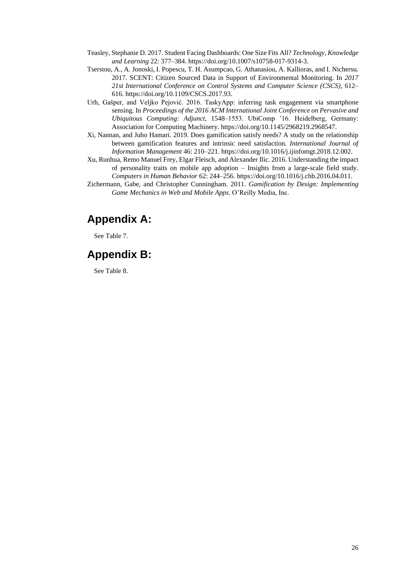- Teasley, Stephanie D. 2017. Student Facing Dashboards: One Size Fits All? *Technology, Knowledge and Learning* 22: 377–384. https://doi.org/10.1007/s10758-017-9314-3.
- Tserstou, A., A. Jonoski, I. Popescu, T. H. Asumpcao, G. Athanasiou, A. Kallioras, and I. Nichersu. 2017. SCENT: Citizen Sourced Data in Support of Environmental Monitoring. In *2017 21st International Conference on Control Systems and Computer Science (CSCS)*, 612– 616. https://doi.org/10.1109/CSCS.2017.93.
- Urh, Gašper, and Veljko Pejović. 2016. TaskyApp: inferring task engagement via smartphone sensing. In *Proceedings of the 2016 ACM International Joint Conference on Pervasive and Ubiquitous Computing: Adjunct*, 1548–1553. UbiComp '16. Heidelberg, Germany: Association for Computing Machinery. https://doi.org/10.1145/2968219.2968547.
- Xi, Nannan, and Juho Hamari. 2019. Does gamification satisfy needs? A study on the relationship between gamification features and intrinsic need satisfaction. *International Journal of Information Management* 46: 210–221. https://doi.org/10.1016/j.ijinfomgt.2018.12.002.
- Xu, Runhua, Remo Manuel Frey, Elgar Fleisch, and Alexander Ilic. 2016. Understanding the impact of personality traits on mobile app adoption – Insights from a large-scale field study. *Computers in Human Behavior* 62: 244–256. https://doi.org/10.1016/j.chb.2016.04.011.
- Zichermann, Gabe, and Christopher Cunningham. 2011. *Gamification by Design: Implementing Game Mechanics in Web and Mobile Apps*. O'Reilly Media, Inc.

# **Appendix A:**

See Table 7.

# **Appendix B:**

See Table 8.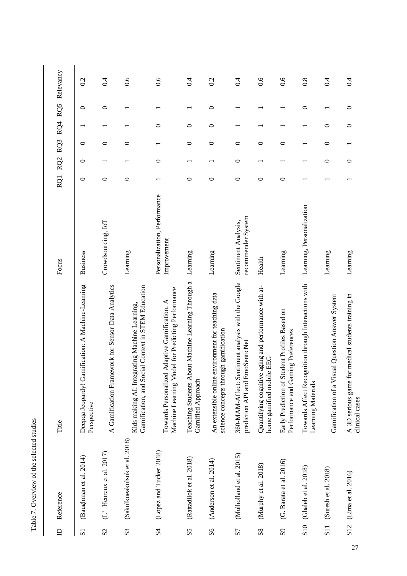| $\sim 100$  |
|-------------|
| l<br>j<br>i |
| ţ           |
| ı           |
|             |

| $\triangle$                   | Reference                           | Title                                                                                                     | Focus                                       |         |   |         |         |         | RQ1 RQ2 RQ3 RQ4 RQ5 Relevancy |
|-------------------------------|-------------------------------------|-----------------------------------------------------------------------------------------------------------|---------------------------------------------|---------|---|---------|---------|---------|-------------------------------|
| $\overline{S}$                | (Baughman et al. 2014)              | Deepqa Jeopardy! Gamification: A Machine-Learning<br>Perspective                                          | <b>Business</b>                             | 0       | 0 | ○       |         | ᅌ       | 0.2                           |
| S <sub>2</sub>                | $(L^{\prime})$ Heureux et al. 2017) | A Gamification Framework for Sensor Data Analytics                                                        | Crowdsourcing, IoT                          | 0       |   | 0       |         | 0       | 0.4                           |
| S <sub>3</sub>                | (Sakulkueakulsuk et al. 2018)       | Gamification, and Social Context in STEM Education<br>ating Machine Learning,<br>Kids making AI: Integr   | Learning                                    | 0       |   | 0       |         |         | 0.6                           |
| S <sub>4</sub>                | (Lopez and Tucker 2018)             | el for Predicting Performance<br>Adaptive Gamification: A<br>Machine Learning Mod<br>Towards Personalized | Personalization, Performance<br>Improvement |         | 0 |         | 0       |         | 0.6                           |
| SS                            | (Rattadilok et al. 2018)            | Teaching Students About Machine Learning Through a<br>Gamified Approach                                   | Learning                                    | $\circ$ |   | $\circ$ | $\circ$ |         | 0.4                           |
| S <sub>6</sub>                | (Anderson et al. 2014)              | An extensible online environment for teaching data<br>science concepts through gamification               | Learning                                    | 0       |   | 0       | 0       | $\circ$ | 0.2                           |
| S <sub>7</sub>                | (Mulholland et al. 2015)            | 360-MAM-Affect: Sentiment analysis with the Google<br>prediction API and EmoSenticNet                     | recommender System<br>Sentiment Analysis,   | $\circ$ | 0 | 0       |         |         | 0.4                           |
| $\overline{\text{S}}\text{8}$ | (Murphy et al. 2018)                | Quantifying cognitive aging and performance with at-<br>EEG<br>home gamified mobile                       | Health                                      | 0       |   | 0       |         |         | 0.6                           |
| S <sub>9</sub>                | $(G.$ Barata et al. $2016$ )        | Early Prediction of Student Profiles Based on<br>Performance and Gaming Preferences                       | Learning                                    | 0       |   | 0       |         |         | 0.6                           |
| $\overline{\text{S}}$ 10      | (Ghaleb et al. 2018)                | Towards Affect Recognition through Interactions with<br>Learning Materials                                | Learning, Personalization                   |         |   |         |         | $\circ$ | 0.8                           |
| S <sub>11</sub>               | (Suresh et al. 2018)                | Gamification of a Visual Question Answer System                                                           | Learning                                    |         | っ | っ       | っ       |         | 0.4                           |
| S12                           | (Lima et al. 2016)                  | medical students training in<br>A 3D serious game for<br>clinical cases                                   | Learning                                    |         | 0 |         | $\circ$ | 0       | 0.4                           |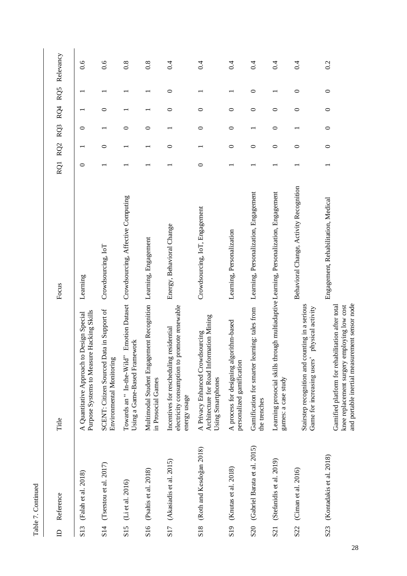| $\mathbf{D}$    | Reference                        | Title                                                                                                                                            | Focus                                              |         |         |                          |         |         | RQ1 RQ2 RQ3 RQ4 RQ5 Relevancy |
|-----------------|----------------------------------|--------------------------------------------------------------------------------------------------------------------------------------------------|----------------------------------------------------|---------|---------|--------------------------|---------|---------|-------------------------------|
| S <sub>13</sub> | (Falah et al. 2018)              | Purpose Systems to Measure Hacking Skills<br>A Quantitative Approach to Design Special                                                           | Learning                                           | 0       |         | ○                        |         |         | 0.6                           |
| S <sub>14</sub> | (Tserstou et al. $2017$ )        | SCENT: Citizen Sourced Data in Support of<br>Environmental Monitoring                                                                            | Crowdsourcing, IoT                                 |         | ᅌ       |                          | 0       |         | 0.6                           |
| S15             | (Li et al. 2016)                 | Using a Game-Based Framework<br>Towards an "In-the-Wild"                                                                                         | Emotion Dataset Crowdsourcing, Affective Computing |         |         | 0                        |         |         | 0.8                           |
| S16             | (Psaltis et al. 2018)            | Multimodal Student Engagement Recognition<br>in Prosocial Games                                                                                  | Learning, Engagement                               |         |         | $\circ$                  |         |         | 0.8                           |
|                 | S17 (Akasiadis et al. 2015)      | electricity consumption to promote renewable<br>Incentives for rescheduling residential<br>energy usage                                          | Energy, Behavioral Change                          |         | $\circ$ |                          | $\circ$ | $\circ$ | 0.4                           |
| S <sub>18</sub> | (Roth and Kesdoğan 2018)         | Architecture for Road Information Mining<br>A Privacy Enhanced Crowdsourcing<br>Using Smartphones                                                | Crowdsourcing, IoT, Engagement                     | $\circ$ |         | $\circ$                  | 0       |         | 0.4                           |
| S <sub>19</sub> | (Knutas et al. 2018)             | A process for designing algorithm-based<br>personalized gamification                                                                             | Learning, Personalization                          |         | 0       | 0                        | 0       |         | 0.4                           |
|                 | S20 (Gabriel Barata et al. 2015) | Gamification for smarter learning: tales from<br>the trenches                                                                                    | Learning, Personalization, Engagement              |         | $\circ$ | $\overline{\phantom{0}}$ | 0       | $\circ$ | 0.4                           |
| S <sub>21</sub> | (Stefanidis et al. 2019)         | Learning prosocial skills through multiadaptive Learning, Personalization, Engagement<br>games: a case study                                     |                                                    |         | っ       | $\circ$                  | っ       |         | 0.4                           |
| S <sub>22</sub> | (Ciman et al. 2016)              | Stairstep recognition and counting in a serious<br>physical activity<br>Game for increasing users'                                               | Behavioral Change, Activity Recognition            |         | 0       |                          | 0       | 0       | 0.4                           |
| S <sub>23</sub> | (Kontadakis et al. 2018)         | and portable inertial measurement sensor node<br>Gamified platform for rehabilitation after total<br>knee replacement surgery employing low cost | Engagement, Rehabilitation, Medical                |         | $\circ$ | $\circ$                  | $\circ$ | $\circ$ | 0.2                           |

Table 7. Continued Table 7. Continued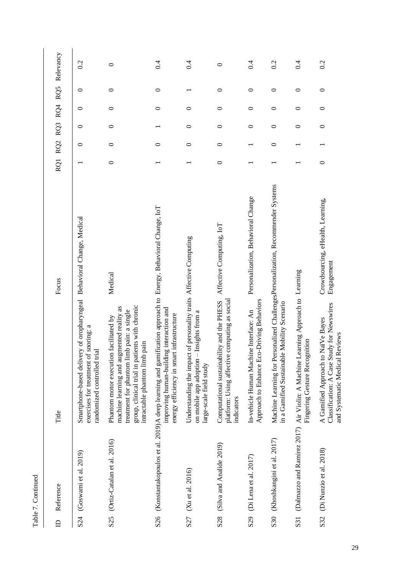| ١ |  |
|---|--|
|   |  |
|   |  |
| t |  |
|   |  |

| $\triangle$ | Reference                       | Title                                                                                                                                                                                                                     | Focus                                           |         |   |         |         |         | RQ1 RQ2 RQ3 RQ4 RQ5 Relevancy |
|-------------|---------------------------------|---------------------------------------------------------------------------------------------------------------------------------------------------------------------------------------------------------------------------|-------------------------------------------------|---------|---|---------|---------|---------|-------------------------------|
|             |                                 |                                                                                                                                                                                                                           |                                                 |         |   |         |         |         |                               |
| S24         | (Goswami et al. 2019)           | Smartphone-based delivery of oropharyngeal<br>snoring: a<br>randomized controlled trial<br>exercises for treatment of                                                                                                     | Behavioral Change, Medical                      |         | 0 | 0       | 0       | 0       | 0.2                           |
|             | S25 (Ortiz-Catalan et al. 2016) | group, clinical trial in patients with chronic<br>machine learning and augmented reality as<br>treatment for phantom limb pain: a single<br>facilitated by<br>pain<br>Phantom motor execution<br>intractable phantom limb | Medical                                         | $\circ$ | 0 | $\circ$ | $\circ$ | $\circ$ | $\circ$                       |
|             |                                 | S26 (Konstantakopoulos et al. 2019)A deep learning and gamification approach to Energy, Behavioral Change, IoT<br>improving human-building interaction and<br>energy efficiency in smart infrastructure                   |                                                 |         | 0 |         | 0       | 0       | $\ddot{0}$                    |
| S27         | (Xu et al. 2016)                | Understanding the impact of personality traits Affective Computing<br>Insights from a<br>on mobile app adoption<br>large-scale field study                                                                                |                                                 |         | 0 | 0       | 0       |         | $\ddot{0}$                    |
| S28         | (Silva and Analide 2019)        | platform: Using affective computing as social<br>Computational sustainability and the PHESS<br>indicators                                                                                                                 | Affective Computing, IoT                        | $\circ$ | 0 | 0       | $\circ$ | $\circ$ | 0                             |
| S29         | (Di Lena et al. 2017)           | Approach to Enhance Eco-Driving Behaviors<br>In-vehicle Human Machine Interface: An                                                                                                                                       | Personalization, Behavioral Change              |         |   | $\circ$ | $\circ$ | $\circ$ | 0.4                           |
| S30         | (Khoshkangini et al. 2017)      | Machine Learning for Personalized ChallengesPersonalization, Recommender Systems<br>Mobility Scenario<br>in a Gamified Sustainable                                                                                        |                                                 |         | 0 | 0       | $\circ$ | $\circ$ | 0.2                           |
| S31         |                                 | (Dalmazzo and Ramirez 2017) Air Violin: A Machine Learning Approach to Learning<br>Fingering Gesture Recognition                                                                                                          |                                                 |         |   | 0       | $\circ$ | $\circ$ | 0.4                           |
| S32         | (Di Nunzio et al. 2018)         | Classification: A Case Study for Newswires<br>A Gamified Approach to NaïVe Bayes<br>and Systematic Medical Reviews                                                                                                        | Crowdsourcing, eHealth, Learning,<br>Engagement | $\circ$ |   | $\circ$ | $\circ$ | $\circ$ | 0.2                           |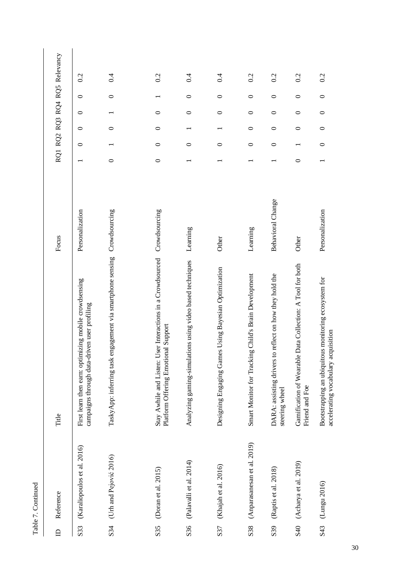| ŕ |  |
|---|--|
| t |  |
|   |  |

| $\triangle$ | Reference                   | Title                                                                                                 | Focus                    |         |         |         |         |         | RQ1 RQ2 RQ3 RQ4 RQ5 Relevancy |  |
|-------------|-----------------------------|-------------------------------------------------------------------------------------------------------|--------------------------|---------|---------|---------|---------|---------|-------------------------------|--|
| S33         | (Karaliopoulos et al. 2016) | First learn then earn: optimizing mobile crowdsensing<br>campaigns through data-driven user profiling | Personalization          |         | $\circ$ | $\circ$ | $\circ$ | $\circ$ | 0.2                           |  |
| S34         | (Urh and Pejović 2016)      | gagement via smartphone sensing<br>TaskyApp: inferring task er                                        | Crowdsourcing            | $\circ$ |         | $\circ$ |         | $\circ$ | 0.4                           |  |
| S35         | (Doran et al. 2015)         | Stay Awhile and Listen: User Interactions in a Crowdsourced<br>Platform Offering Emotional Support    | Crowdsourcing            | $\circ$ | 0       | $\circ$ | 0       |         | 0.2                           |  |
| S36         | (Palavalli et al. 2014)     | Analyzing gaming-simulations using video based techniques                                             | Learning                 |         | $\circ$ |         | $\circ$ | $\circ$ | 0.4                           |  |
| S37         | (Khajah et al. 2016)        | Using Bayesian Optimization<br>Designing Engaging Games                                               | Other                    |         | $\circ$ |         | $\circ$ | $\circ$ | 0.4                           |  |
| S38         | (Anparasanesan et al. 2019) | Child's Brain Development<br>Smart Monitor for Tracking                                               | Learning                 |         | $\circ$ | $\circ$ | $\circ$ | $\circ$ | 0.2                           |  |
| S39         | (Raptis et al. 2018)        | reflect on how they hold the<br>DARA: assisting drivers to<br>steering wheel                          | <b>Behavioral Change</b> |         | $\circ$ | $\circ$ | $\circ$ | $\circ$ | 0.2                           |  |
| S40         | (Acharya et al. 2019)       | Gamification of Wearable Data Collection: A Tool for both<br>Friend and Foe                           | Other                    | $\circ$ |         | $\circ$ | $\circ$ | $\circ$ | 0.2                           |  |
| S43         | (Lungu 2016)                | Bootstrapping an ubiquitous monitoring ecosystem for<br>accelerating vocabulary acquisition           | Personalization          |         | $\circ$ | $\circ$ | $\circ$ | $\circ$ | 0.2                           |  |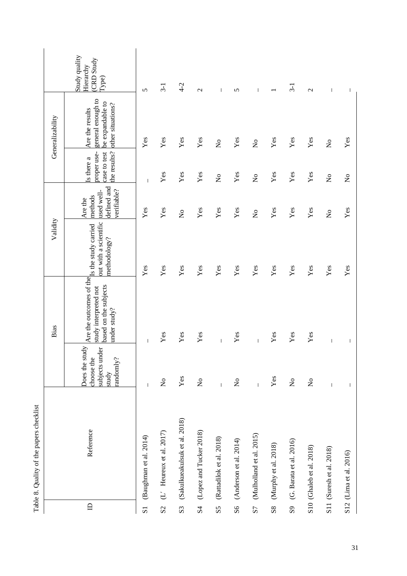|                         |                               |                                                                                                                                                                                                                                                                                                                                                                                  | Bias                                                                                                    | Validity                              |                                                                |                                                           | Generalizability                                                              |                                                            |
|-------------------------|-------------------------------|----------------------------------------------------------------------------------------------------------------------------------------------------------------------------------------------------------------------------------------------------------------------------------------------------------------------------------------------------------------------------------|---------------------------------------------------------------------------------------------------------|---------------------------------------|----------------------------------------------------------------|-----------------------------------------------------------|-------------------------------------------------------------------------------|------------------------------------------------------------|
| $\mathbf{D}$            | Reference                     | Does the study<br>subjects under<br>choose the<br>randomly?<br>study                                                                                                                                                                                                                                                                                                             | Are the outcomes of the study carried<br>based on the subjects<br>study interpreted not<br>under study? | out with a scientific<br>methodology? | defined and<br>verifiable?<br>used well-<br>methods<br>Are the | the results?<br>proper use-<br>case to test<br>Is there a | general enough to<br>be expandable to<br>other situations?<br>Are the results | Study quality<br>(CRD Study<br>Hierarchy<br>$[{\rm Type}]$ |
| $\overline{\mathbf{s}}$ | (Baughman et al. 2014)        | $\overline{1}$                                                                                                                                                                                                                                                                                                                                                                   | $\overline{\phantom{a}}$                                                                                | Yes                                   | $\mathbf{Yes}$                                                 | $\overline{1}$                                            | Yes                                                                           | 5                                                          |
| S <sub>2</sub>          | $(L'$ Heureux et al. 2017)    | $\stackrel{\circ}{\mathbf{Z}}$                                                                                                                                                                                                                                                                                                                                                   | Yes                                                                                                     | Yes                                   | Yes                                                            | Yes                                                       | Yes                                                                           | $3-1$                                                      |
| S <sub>3</sub>          | (Sakulkueakulsuk et al. 2018) | Yes                                                                                                                                                                                                                                                                                                                                                                              | Yes                                                                                                     | Yes                                   | $\overline{\mathsf{x}}$                                        | Yes                                                       | Yes                                                                           | $4-2$                                                      |
| <b>S4</b>               | (Lopez and Tucker 2018)       | $\stackrel{\circ}{\mathbf{Z}}$                                                                                                                                                                                                                                                                                                                                                   | Yes                                                                                                     | Yes                                   | $\mathbf{Yes}$                                                 | Yes                                                       | Yes                                                                           | $\mathbf{C}$                                               |
| $\overline{S}5$         | (Rattadilok et al. 2018)      | $\begin{array}{c} \rule{0pt}{2.5ex} \rule{0pt}{2.5ex} \rule{0pt}{2.5ex} \rule{0pt}{2.5ex} \rule{0pt}{2.5ex} \rule{0pt}{2.5ex} \rule{0pt}{2.5ex} \rule{0pt}{2.5ex} \rule{0pt}{2.5ex} \rule{0pt}{2.5ex} \rule{0pt}{2.5ex} \rule{0pt}{2.5ex} \rule{0pt}{2.5ex} \rule{0pt}{2.5ex} \rule{0pt}{2.5ex} \rule{0pt}{2.5ex} \rule{0pt}{2.5ex} \rule{0pt}{2.5ex} \rule{0pt}{2.5ex} \rule{0$ | $\overline{1}$                                                                                          | Yes                                   | Yes                                                            | $\mathop{\mathsf{S}}\nolimits$                            | $\mathop{\mathsf{S}}\nolimits$                                                | $\mathbf{I}$                                               |
| S6                      | (Anderson et al. $2014$ )     | $\mathsf{S}^{\mathsf{o}}$                                                                                                                                                                                                                                                                                                                                                        | $\mathbf{Y}\mathbf{es}$                                                                                 | Yes                                   | $\mathbf{Yes}$                                                 | Yes                                                       | Yes                                                                           | $\sigma$                                                   |
| S7                      | (Mulholland et al. 2015)      | $\mathsf I$                                                                                                                                                                                                                                                                                                                                                                      | $\overline{1}$                                                                                          | Yes                                   | $\overline{\mathsf{x}}$                                        | $\mathop{\mathsf{S}}\nolimits$                            | $\mathop{\mathsf{S}}\nolimits$                                                | T                                                          |
| S8                      | (Murphy et al. 2018)          | Yes                                                                                                                                                                                                                                                                                                                                                                              | Yes                                                                                                     | Yes                                   | $\mathbf{Yes}$                                                 | Yes                                                       | Yes                                                                           |                                                            |
| S <sub>9</sub>          | (G. Barata et al. 2016)       | $\stackrel{\circ}{\mathbf{Z}}$                                                                                                                                                                                                                                                                                                                                                   | Yes                                                                                                     | Yes                                   | Yes                                                            | Yes                                                       | Yes                                                                           | $3-1$                                                      |
|                         | S10 (Ghaleb et al. 2018)      | $\mathsf{S}^{\mathsf{o}}$                                                                                                                                                                                                                                                                                                                                                        | $\mathbf{Yes}$                                                                                          | Yes                                   | Yes                                                            | Yes                                                       | Yes                                                                           | $\mathcal{L}$                                              |
|                         | S11 (Suresh et al. 2018)      | $\mathsf I$                                                                                                                                                                                                                                                                                                                                                                      | $\overline{\phantom{a}}$                                                                                | Yes                                   | $\frac{1}{2}$                                                  | $\mathsf{S}^{\mathsf{o}}$                                 | $\mathsf{S}^{\mathsf{o}}$                                                     | $\overline{\phantom{a}}$                                   |
|                         | S12 (Lima et al. 2016)        |                                                                                                                                                                                                                                                                                                                                                                                  |                                                                                                         | Yes                                   | Yes                                                            | $\mathsf{S}^{\mathsf{o}}$                                 | Yes                                                                           | I                                                          |

Table 8. Quality of the papers checklist 8. Quality of the papers checklist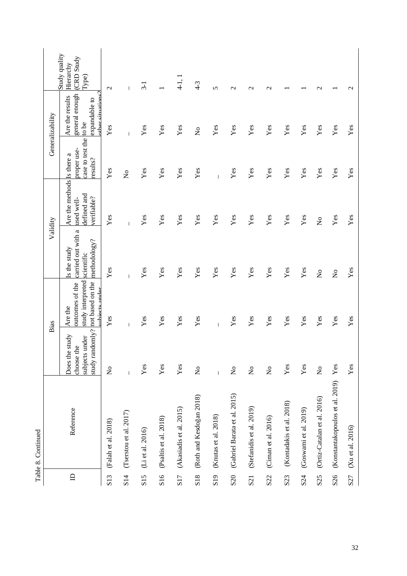|                  |                                 |                                                   | Bias                                                                                                  | Validity                                                         |                                                                        |                                                   | Generalizability                                                        |                                                            |
|------------------|---------------------------------|---------------------------------------------------|-------------------------------------------------------------------------------------------------------|------------------------------------------------------------------|------------------------------------------------------------------------|---------------------------------------------------|-------------------------------------------------------------------------|------------------------------------------------------------|
| $\Box$           | Reference                       | study<br>subjects under<br>choose the<br>Does the | study interpreted<br>study randomly? not based on the<br>outcomes of the<br>anhiects under<br>Are the | carried out with a<br>methodology?<br>Is the study<br>scientific | Are the methods Is there a<br>defined and<br>verifiable?<br>used well- | case to test the to be<br>proper use-<br>results? | other situations?<br>general enough<br>Are the results<br>expandable to | Study quality<br>(CRD Study<br>Hierarchy<br>$_{\rm Type)}$ |
| S <sub>13</sub>  | (Falah et al. 2018)             | $\mathsf{S}^{\mathsf{o}}$                         | Yes                                                                                                   | Yes                                                              | Yes                                                                    | Yes                                               | Yes                                                                     | $\mathcal{L}$                                              |
| S <sub>14</sub>  | (Tserstou et al. 2017)          | $\overline{\phantom{a}}$                          | $\overline{\phantom{a}}$                                                                              | I                                                                | I                                                                      | $\mathsf{S}^{\mathsf{o}}$                         | I                                                                       | $\overline{1}$                                             |
| S15              | (Li et al. 2016)                | Yes                                               | Yes                                                                                                   | Yes                                                              | $\mathbf{Yes}$                                                         | Yes                                               | Yes                                                                     | $3-1$                                                      |
| S <sub>16</sub>  | (Psaltis et al. 2018)           | Yes                                               | Yes                                                                                                   | $\mathbf{Yes}$                                                   | $\mathbf{Yes}$                                                         | Yes                                               | Yes                                                                     |                                                            |
| S17              | (Akasiadis et al. 2015)         | $\mathbf{Yes}$                                    | Yes                                                                                                   | Yes                                                              | Yes                                                                    | Yes                                               | Yes                                                                     | $4-1, 1$                                                   |
| S <sub>18</sub>  | (Roth and Kesdoğan 2018)        | $\stackrel{\circ}{\mathbf{Z}}$                    | Yes                                                                                                   | Yes                                                              | Yes                                                                    | Yes                                               | $\mathsf{S}^{\mathsf{o}}$                                               | $4 - 3$                                                    |
| S <sub>19</sub>  | (Knutas et al. 2018)            | $\mathbf{I}$                                      | $\mathbf{I}$                                                                                          | Yes                                                              | Yes                                                                    | Ť                                                 | Yes                                                                     | 5                                                          |
| S <sub>20</sub>  | (Gabriel Barata et al. 2015)    | $\stackrel{\circ}{\mathbf{Z}}$                    | Yes                                                                                                   | Yes                                                              | Yes                                                                    | Yes                                               | $\mathbf{Yes}$                                                          | $\mathbf{\Omega}$                                          |
| S <sub>21</sub>  | (Stefanidis et al. 2019)        | $\mathsf{S}^{\mathsf{o}}$                         | Yes                                                                                                   | Yes                                                              | Yes                                                                    | Yes                                               | Yes                                                                     | $\mathcal{C}$                                              |
| S <sub>2</sub> 2 | (Ciman et al. 2016)             | $\stackrel{\mathtt{o}}{\mathsf{z}}$               | Yes                                                                                                   | Yes                                                              | Yes                                                                    | Yes                                               | Yes                                                                     | $\mathbf{\sim}$                                            |
| S <sub>23</sub>  | (Kontadakis et al. 2018)        | $\mathbf{Yes}$                                    | Yes                                                                                                   | Yes                                                              | $\mathbf{Yes}$                                                         | Yes                                               | Yes                                                                     |                                                            |
| S24              | (Goswami et al. 2019)           | Yes                                               | Yes                                                                                                   | Yes                                                              | $\mathbf{Yes}$                                                         | Yes                                               | Yes                                                                     |                                                            |
| S25              | (Ortiz-Catalan et al. 2016)     | $\stackrel{\mathtt{o}}{\mathsf{z}}$               | Yes                                                                                                   | $\mathop{\mathsf{S}}\nolimits$                                   | $\mathsf{S}^{\mathsf{O}}$                                              | Yes                                               | Yes                                                                     | $\mathcal{L}$                                              |
| S26              | (Konstantakopoulos et al. 2019) | Yes                                               | Yes                                                                                                   | $\stackrel{\mathtt{o}}{\mathtt{x}}$                              | Yes                                                                    | Yes                                               | Yes                                                                     |                                                            |
| S <sub>27</sub>  | (Xu et al. 2016)                | Yes                                               | Yes                                                                                                   | Yes                                                              | $\mathbf{Yes}$                                                         | Yes                                               | Yes                                                                     | $\mathcal{L}$                                              |

Table 8. Continued Table 8. Continued

32